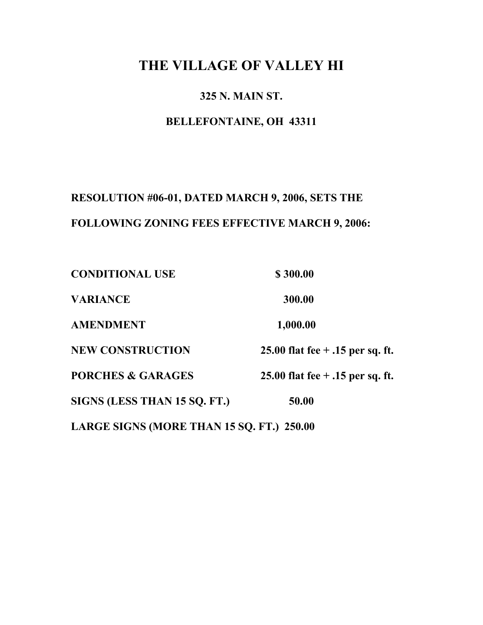# **THE VILLAGE OF VALLEY HI**

# **325 N. MAIN ST.**

# **BELLEFONTAINE, OH 43311**

# **RESOLUTION #06-01, DATED MARCH 9, 2006, SETS THE FOLLOWING ZONING FEES EFFECTIVE MARCH 9, 2006:**

| <b>CONDITIONAL USE</b>                    | \$300.00                           |
|-------------------------------------------|------------------------------------|
| <b>VARIANCE</b>                           | 300.00                             |
| <b>AMENDMENT</b>                          | 1,000.00                           |
| <b>NEW CONSTRUCTION</b>                   | 25.00 flat fee $+$ .15 per sq. ft. |
| <b>PORCHES &amp; GARAGES</b>              | 25.00 flat fee $+$ .15 per sq. ft. |
| SIGNS (LESS THAN 15 SQ. FT.)              | 50.00                              |
| LARGE SIGNS (MORE THAN 15 SQ. FT.) 250.00 |                                    |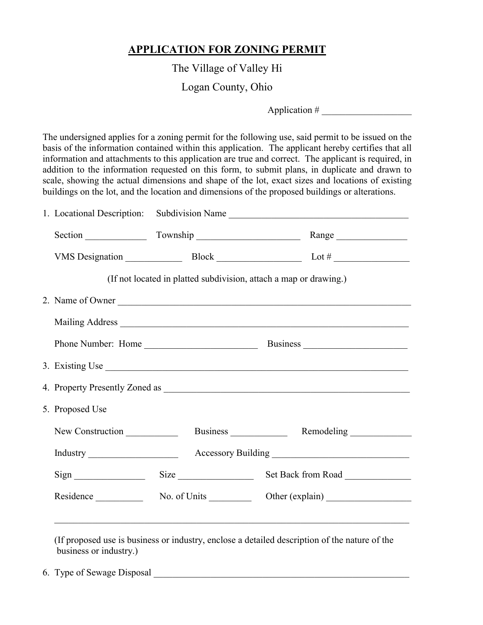# **APPLICATION FOR ZONING PERMIT**

The Village of Valley Hi

Logan County, Ohio

Application  $#$ 

The undersigned applies for a zoning permit for the following use, said permit to be issued on the basis of the information contained within this application. The applicant hereby certifies that all information and attachments to this application are true and correct. The applicant is required, in addition to the information requested on this form, to submit plans, in duplicate and drawn to scale, showing the actual dimensions and shape of the lot, exact sizes and locations of existing buildings on the lot, and the location and dimensions of the proposed buildings or alterations.

| (If not located in platted subdivision, attach a map or drawing.)<br>2. Name of Owner |
|---------------------------------------------------------------------------------------|
|                                                                                       |
|                                                                                       |
|                                                                                       |
|                                                                                       |
|                                                                                       |
|                                                                                       |
| 3. Existing Use                                                                       |
|                                                                                       |
|                                                                                       |
|                                                                                       |
|                                                                                       |
| Size Size Set Back from Road                                                          |
|                                                                                       |
|                                                                                       |

6. Type of Sewage Disposal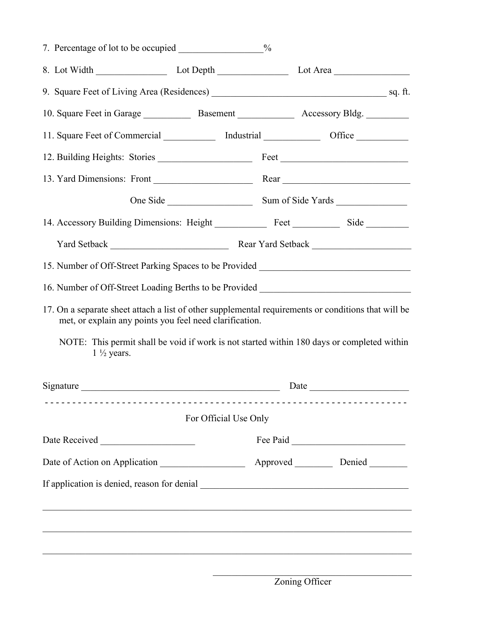| 7. Percentage of lot to be occupied _______________________%                                                                                                   |                       |                                     |      |  |
|----------------------------------------------------------------------------------------------------------------------------------------------------------------|-----------------------|-------------------------------------|------|--|
|                                                                                                                                                                |                       |                                     |      |  |
|                                                                                                                                                                |                       |                                     |      |  |
| 10. Square Feet in Garage Basement Research Accessory Bldg.                                                                                                    |                       |                                     |      |  |
| 11. Square Feet of Commercial ______________ Industrial _________________ Office __________________                                                            |                       |                                     |      |  |
|                                                                                                                                                                |                       |                                     |      |  |
|                                                                                                                                                                |                       |                                     |      |  |
|                                                                                                                                                                |                       |                                     |      |  |
| 14. Accessory Building Dimensions: Height Feet Feet Side                                                                                                       |                       |                                     |      |  |
|                                                                                                                                                                |                       |                                     |      |  |
| 15. Number of Off-Street Parking Spaces to be Provided _________________________                                                                               |                       |                                     |      |  |
| 16. Number of Off-Street Loading Berths to be Provided _________________________                                                                               |                       |                                     |      |  |
| 17. On a separate sheet attach a list of other supplemental requirements or conditions that will be<br>met, or explain any points you feel need clarification. |                       |                                     |      |  |
| NOTE: This permit shall be void if work is not started within 180 days or completed within<br>$1\frac{1}{2}$ years.                                            |                       |                                     |      |  |
| Signature                                                                                                                                                      |                       |                                     | Date |  |
|                                                                                                                                                                | For Official Use Only | ___________________________________ |      |  |
|                                                                                                                                                                |                       |                                     |      |  |
|                                                                                                                                                                |                       |                                     |      |  |
|                                                                                                                                                                |                       |                                     |      |  |
|                                                                                                                                                                |                       |                                     |      |  |
|                                                                                                                                                                |                       |                                     |      |  |
|                                                                                                                                                                |                       |                                     |      |  |
|                                                                                                                                                                |                       |                                     |      |  |

 $\mathcal{L}_\text{max}$  and  $\mathcal{L}_\text{max}$  and  $\mathcal{L}_\text{max}$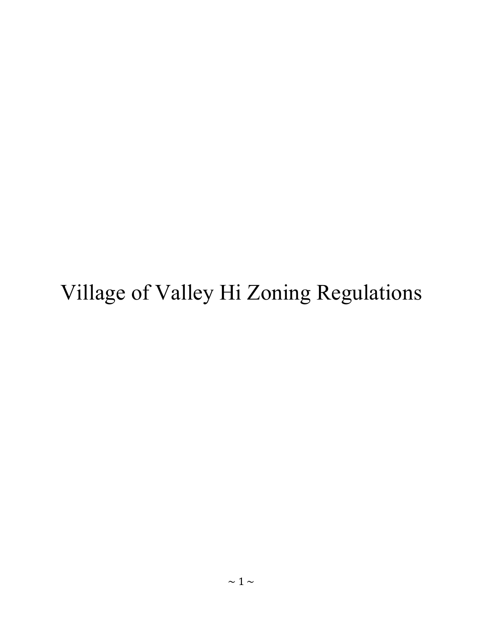# Village of Valley Hi Zoning Regulations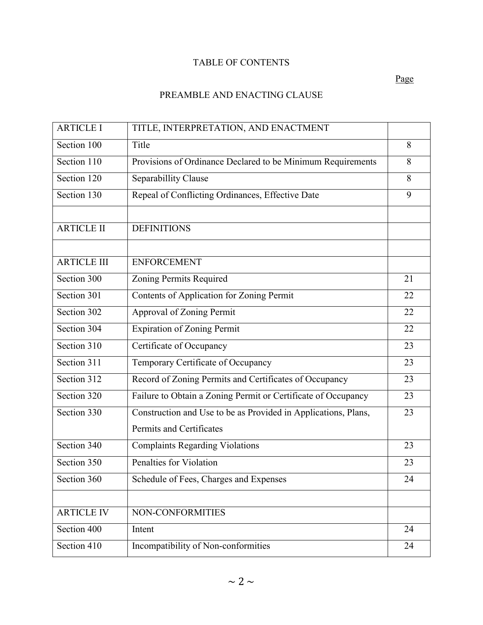# TABLE OF CONTENTS

# PREAMBLE AND ENACTING CLAUSE

| <b>ARTICLE I</b>   | TITLE, INTERPRETATION, AND ENACTMENT                                                       |    |
|--------------------|--------------------------------------------------------------------------------------------|----|
| Section 100        | Title                                                                                      | 8  |
| Section 110        | Provisions of Ordinance Declared to be Minimum Requirements                                | 8  |
| Section 120        | Separabillity Clause                                                                       | 8  |
| Section 130        | Repeal of Conflicting Ordinances, Effective Date                                           | 9  |
| <b>ARTICLE II</b>  | <b>DEFINITIONS</b>                                                                         |    |
| <b>ARTICLE III</b> | <b>ENFORCEMENT</b>                                                                         |    |
| Section 300        | Zoning Permits Required                                                                    | 21 |
| Section 301        | Contents of Application for Zoning Permit                                                  | 22 |
| Section 302        | Approval of Zoning Permit                                                                  | 22 |
| Section 304        | <b>Expiration of Zoning Permit</b>                                                         | 22 |
| Section 310        | Certificate of Occupancy                                                                   | 23 |
| Section 311        | Temporary Certificate of Occupancy                                                         | 23 |
| Section 312        | Record of Zoning Permits and Certificates of Occupancy                                     | 23 |
| Section 320        | Failure to Obtain a Zoning Permit or Certificate of Occupancy                              | 23 |
| Section 330        | Construction and Use to be as Provided in Applications, Plans,<br>Permits and Certificates | 23 |
| Section 340        | <b>Complaints Regarding Violations</b>                                                     | 23 |
| Section 350        | <b>Penalties for Violation</b>                                                             | 23 |
| Section 360        | Schedule of Fees, Charges and Expenses                                                     | 24 |
|                    |                                                                                            |    |
| <b>ARTICLE IV</b>  | NON-CONFORMITIES                                                                           |    |
| Section 400        | Intent                                                                                     | 24 |
| Section 410        | Incompatibility of Non-conformities                                                        | 24 |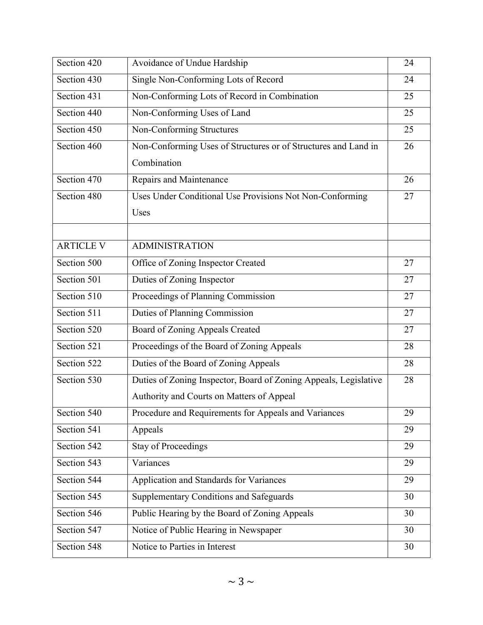| Section 420      | Avoidance of Undue Hardship                                      | 24 |
|------------------|------------------------------------------------------------------|----|
| Section 430      | Single Non-Conforming Lots of Record                             | 24 |
| Section 431      | Non-Conforming Lots of Record in Combination                     | 25 |
| Section 440      | Non-Conforming Uses of Land                                      | 25 |
| Section 450      | Non-Conforming Structures                                        | 25 |
| Section 460      | Non-Conforming Uses of Structures or of Structures and Land in   | 26 |
|                  | Combination                                                      |    |
| Section 470      | Repairs and Maintenance                                          | 26 |
| Section 480      | Uses Under Conditional Use Provisions Not Non-Conforming         | 27 |
|                  | Uses                                                             |    |
|                  |                                                                  |    |
| <b>ARTICLE V</b> | <b>ADMINISTRATION</b>                                            |    |
| Section 500      | Office of Zoning Inspector Created                               | 27 |
| Section 501      | Duties of Zoning Inspector                                       | 27 |
| Section 510      | Proceedings of Planning Commission                               | 27 |
| Section 511      | Duties of Planning Commission                                    | 27 |
| Section 520      | <b>Board of Zoning Appeals Created</b>                           | 27 |
| Section 521      | Proceedings of the Board of Zoning Appeals                       | 28 |
| Section 522      | Duties of the Board of Zoning Appeals                            | 28 |
| Section 530      | Duties of Zoning Inspector, Board of Zoning Appeals, Legislative | 28 |
|                  | Authority and Courts on Matters of Appeal                        |    |
| Section 540      | Procedure and Requirements for Appeals and Variances             | 29 |
| Section 541      | Appeals                                                          | 29 |
| Section 542      | <b>Stay of Proceedings</b>                                       | 29 |
| Section 543      | Variances                                                        | 29 |
| Section 544      | Application and Standards for Variances                          | 29 |
| Section 545      | Supplementary Conditions and Safeguards                          | 30 |
| Section 546      | Public Hearing by the Board of Zoning Appeals                    | 30 |
| Section 547      | Notice of Public Hearing in Newspaper                            | 30 |
| Section 548      | Notice to Parties in Interest                                    | 30 |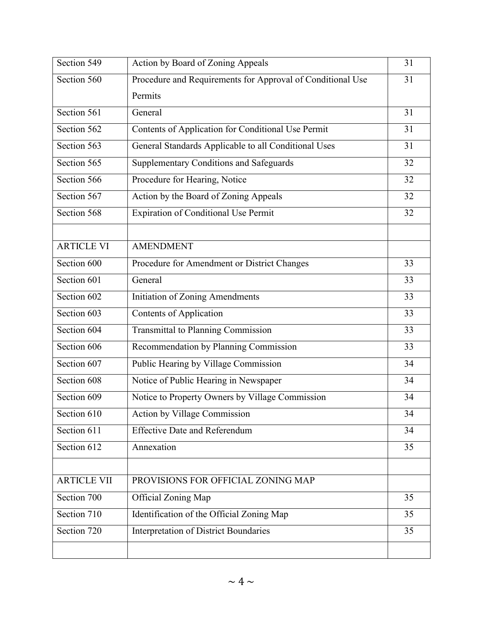| Action by Board of Zoning Appeals                          | 31 |
|------------------------------------------------------------|----|
| Procedure and Requirements for Approval of Conditional Use | 31 |
| Permits                                                    |    |
| General                                                    | 31 |
| Contents of Application for Conditional Use Permit         | 31 |
| General Standards Applicable to all Conditional Uses       | 31 |
| Supplementary Conditions and Safeguards                    | 32 |
| Procedure for Hearing, Notice                              | 32 |
| Action by the Board of Zoning Appeals                      | 32 |
| <b>Expiration of Conditional Use Permit</b>                | 32 |
|                                                            |    |
| <b>AMENDMENT</b>                                           |    |
| Procedure for Amendment or District Changes                | 33 |
| General                                                    | 33 |
| <b>Initiation of Zoning Amendments</b>                     | 33 |
| <b>Contents of Application</b>                             | 33 |
| <b>Transmittal to Planning Commission</b>                  | 33 |
| Recommendation by Planning Commission                      | 33 |
| Public Hearing by Village Commission                       | 34 |
| Notice of Public Hearing in Newspaper                      | 34 |
| Notice to Property Owners by Village Commission            | 34 |
| Action by Village Commission                               | 34 |
| <b>Effective Date and Referendum</b>                       | 34 |
| Annexation                                                 | 35 |
|                                                            |    |
| PROVISIONS FOR OFFICIAL ZONING MAP                         |    |
| Official Zoning Map                                        | 35 |
| Identification of the Official Zoning Map                  | 35 |
| <b>Interpretation of District Boundaries</b>               | 35 |
|                                                            |    |
|                                                            |    |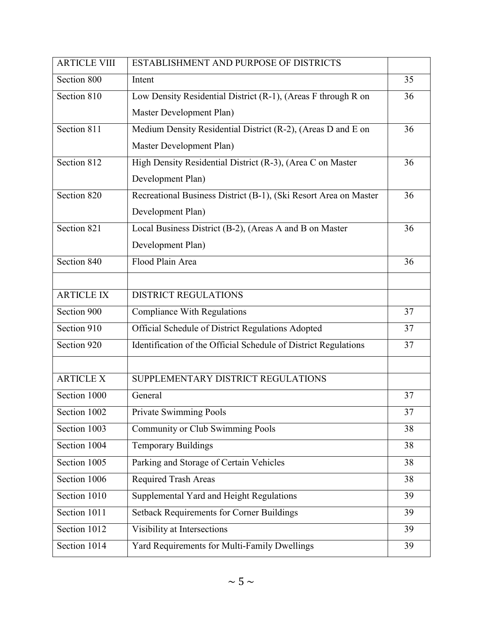| <b>ARTICLE VIII</b> | ESTABLISHMENT AND PURPOSE OF DISTRICTS                           |    |
|---------------------|------------------------------------------------------------------|----|
| Section 800         | Intent                                                           | 35 |
| Section 810         | Low Density Residential District (R-1), (Areas F through R on    | 36 |
|                     | Master Development Plan)                                         |    |
| Section 811         | Medium Density Residential District (R-2), (Areas D and E on     | 36 |
|                     | Master Development Plan)                                         |    |
| Section 812         | High Density Residential District (R-3), (Area C on Master       | 36 |
|                     | Development Plan)                                                |    |
| Section 820         | Recreational Business District (B-1), (Ski Resort Area on Master | 36 |
|                     | Development Plan)                                                |    |
| Section 821         | Local Business District (B-2), (Areas A and B on Master          | 36 |
|                     | Development Plan)                                                |    |
| Section 840         | Flood Plain Area                                                 | 36 |
|                     |                                                                  |    |
| <b>ARTICLE IX</b>   | <b>DISTRICT REGULATIONS</b>                                      |    |
| Section 900         | <b>Compliance With Regulations</b>                               | 37 |
| Section 910         | Official Schedule of District Regulations Adopted                | 37 |
| Section 920         | Identification of the Official Schedule of District Regulations  | 37 |
|                     |                                                                  |    |
| <b>ARTICLE X</b>    | SUPPLEMENTARY DISTRICT REGULATIONS                               |    |
| Section 1000        | General                                                          | 37 |
| Section 1002        | Private Swimming Pools                                           | 37 |
| Section 1003        | <b>Community or Club Swimming Pools</b>                          | 38 |
| Section 1004        | <b>Temporary Buildings</b>                                       | 38 |
| Section 1005        | Parking and Storage of Certain Vehicles                          | 38 |
| Section 1006        | Required Trash Areas                                             | 38 |
| Section 1010        | Supplemental Yard and Height Regulations                         | 39 |
| Section 1011        | <b>Setback Requirements for Corner Buildings</b>                 | 39 |
| Section 1012        | Visibility at Intersections                                      | 39 |
| Section 1014        | Yard Requirements for Multi-Family Dwellings                     | 39 |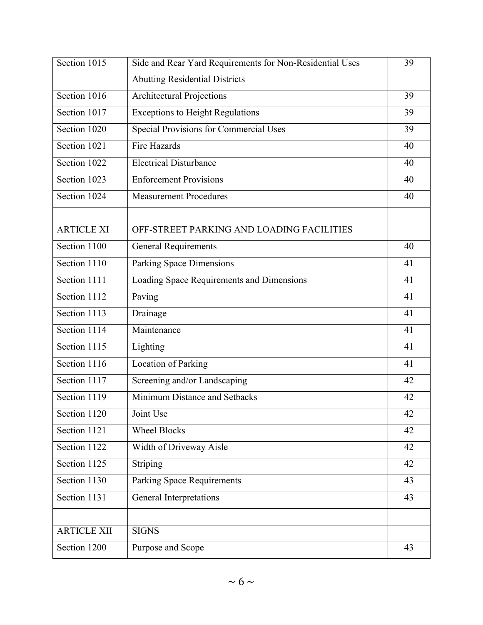| Section 1015       | Side and Rear Yard Requirements for Non-Residential Uses | 39 |
|--------------------|----------------------------------------------------------|----|
|                    | <b>Abutting Residential Districts</b>                    |    |
| Section 1016       | <b>Architectural Projections</b>                         | 39 |
| Section 1017       | <b>Exceptions to Height Regulations</b>                  | 39 |
| Section 1020       | <b>Special Provisions for Commercial Uses</b>            | 39 |
| Section 1021       | <b>Fire Hazards</b>                                      | 40 |
| Section 1022       | <b>Electrical Disturbance</b>                            | 40 |
| Section 1023       | <b>Enforcement Provisions</b>                            | 40 |
| Section 1024       | <b>Measurement Procedures</b>                            | 40 |
|                    |                                                          |    |
| <b>ARTICLE XI</b>  | OFF-STREET PARKING AND LOADING FACILITIES                |    |
| Section 1100       | <b>General Requirements</b>                              | 40 |
| Section 1110       | Parking Space Dimensions                                 | 41 |
| Section 1111       | Loading Space Requirements and Dimensions                | 41 |
| Section 1112       | Paving                                                   | 41 |
| Section 1113       | Drainage                                                 | 41 |
| Section 1114       | Maintenance                                              | 41 |
| Section 1115       | Lighting                                                 | 41 |
| Section 1116       | <b>Location of Parking</b>                               | 41 |
| Section 1117       | Screening and/or Landscaping                             | 42 |
| Section 1119       | Minimum Distance and Setbacks                            | 42 |
| Section 1120       | Joint Use                                                | 42 |
| Section 1121       | <b>Wheel Blocks</b>                                      | 42 |
| Section 1122       | Width of Driveway Aisle                                  | 42 |
| Section 1125       | Striping                                                 | 42 |
| Section 1130       | <b>Parking Space Requirements</b>                        | 43 |
| Section 1131       | General Interpretations                                  | 43 |
|                    |                                                          |    |
| <b>ARTICLE XII</b> | <b>SIGNS</b>                                             |    |
| Section 1200       | Purpose and Scope                                        | 43 |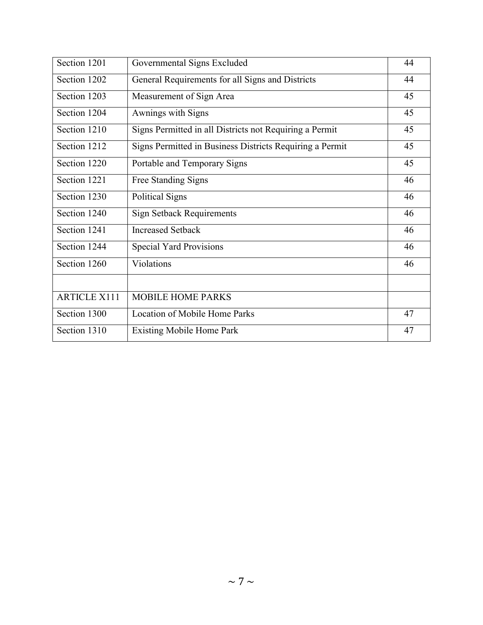| Section 1201        | Governmental Signs Excluded                              | 44 |
|---------------------|----------------------------------------------------------|----|
| Section 1202        | General Requirements for all Signs and Districts         | 44 |
| Section 1203        | Measurement of Sign Area                                 | 45 |
| Section 1204        | Awnings with Signs                                       | 45 |
| Section 1210        | Signs Permitted in all Districts not Requiring a Permit  | 45 |
| Section 1212        | Signs Permitted in Business Districts Requiring a Permit | 45 |
| Section 1220        | Portable and Temporary Signs                             | 45 |
| Section 1221        | Free Standing Signs                                      | 46 |
| Section 1230        | <b>Political Signs</b>                                   | 46 |
| Section 1240        | <b>Sign Setback Requirements</b>                         | 46 |
| Section 1241        | <b>Increased Setback</b>                                 | 46 |
| Section 1244        | <b>Special Yard Provisions</b>                           | 46 |
| Section 1260        | Violations                                               | 46 |
|                     |                                                          |    |
| <b>ARTICLE X111</b> | <b>MOBILE HOME PARKS</b>                                 |    |
| Section 1300        | <b>Location of Mobile Home Parks</b>                     | 47 |
| Section 1310        | <b>Existing Mobile Home Park</b>                         | 47 |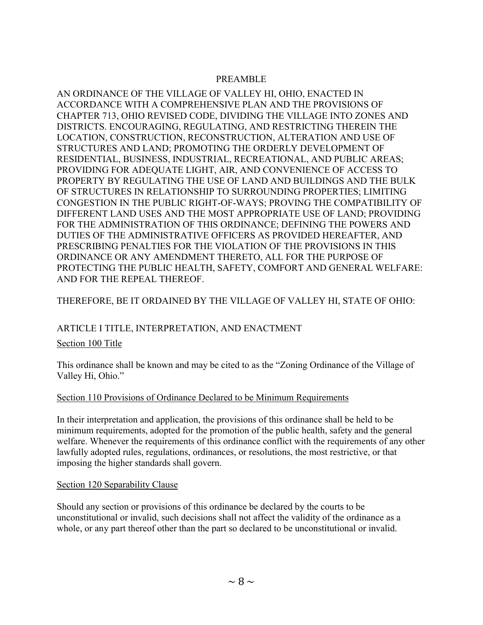#### PREAMBLE

AN ORDINANCE OF THE VILLAGE OF VALLEY HI, OHIO, ENACTED IN ACCORDANCE WITH A COMPREHENSIVE PLAN AND THE PROVISIONS OF CHAPTER 713, OHIO REVISED CODE, DIVIDING THE VILLAGE INTO ZONES AND DISTRICTS. ENCOURAGING, REGULATING, AND RESTRICTING THEREIN THE LOCATION, CONSTRUCTION, RECONSTRUCTION, ALTERATION AND USE OF STRUCTURES AND LAND; PROMOTING THE ORDERLY DEVELOPMENT OF RESIDENTIAL, BUSINESS, INDUSTRIAL, RECREATIONAL, AND PUBLIC AREAS; PROVIDING FOR ADEQUATE LIGHT, AIR, AND CONVENIENCE OF ACCESS TO PROPERTY BY REGULATING THE USE OF LAND AND BUILDINGS AND THE BULK OF STRUCTURES IN RELATIONSHIP TO SURROUNDING PROPERTIES; LIMITING CONGESTION IN THE PUBLIC RIGHT-OF-WAYS; PROVING THE COMPATIBILITY OF DIFFERENT LAND USES AND THE MOST APPROPRIATE USE OF LAND; PROVIDING FOR THE ADMINISTRATION OF THIS ORDINANCE; DEFINING THE POWERS AND DUTIES OF THE ADMINISTRATIVE OFFICERS AS PROVIDED HEREAFTER, AND PRESCRIBING PENALTIES FOR THE VIOLATION OF THE PROVISIONS IN THIS ORDINANCE OR ANY AMENDMENT THERETO, ALL FOR THE PURPOSE OF PROTECTING THE PUBLIC HEALTH, SAFETY, COMFORT AND GENERAL WELFARE: AND FOR THE REPEAL THEREOF.

# THEREFORE, BE IT ORDAINED BY THE VILLAGE OF VALLEY HI, STATE OF OHIO:

#### ARTICLE I TITLE, INTERPRETATION, AND ENACTMENT

#### Section 100 Title

This ordinance shall be known and may be cited to as the "Zoning Ordinance of the Village of Valley Hi, Ohio."

#### Section 110 Provisions of Ordinance Declared to be Minimum Requirements

In their interpretation and application, the provisions of this ordinance shall be held to be minimum requirements, adopted for the promotion of the public health, safety and the general welfare. Whenever the requirements of this ordinance conflict with the requirements of any other lawfully adopted rules, regulations, ordinances, or resolutions, the most restrictive, or that imposing the higher standards shall govern.

#### Section 120 Separability Clause

Should any section or provisions of this ordinance be declared by the courts to be unconstitutional or invalid, such decisions shall not affect the validity of the ordinance as a whole, or any part thereof other than the part so declared to be unconstitutional or invalid.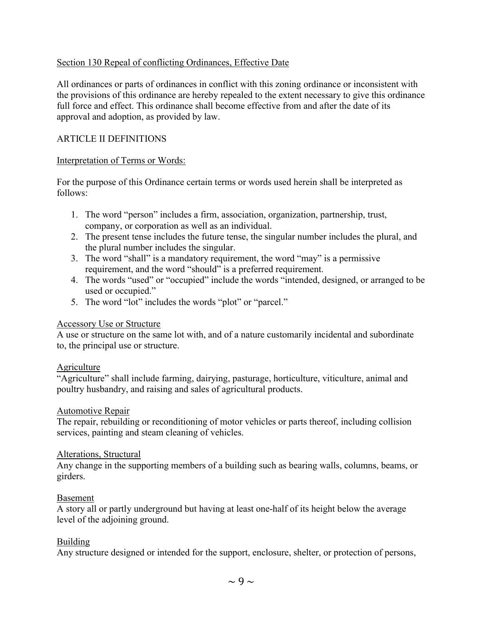#### Section 130 Repeal of conflicting Ordinances, Effective Date

All ordinances or parts of ordinances in conflict with this zoning ordinance or inconsistent with the provisions of this ordinance are hereby repealed to the extent necessary to give this ordinance full force and effect. This ordinance shall become effective from and after the date of its approval and adoption, as provided by law.

#### ARTICLE II DEFINITIONS

#### Interpretation of Terms or Words:

For the purpose of this Ordinance certain terms or words used herein shall be interpreted as follows:

- 1. The word "person" includes a firm, association, organization, partnership, trust, company, or corporation as well as an individual.
- 2. The present tense includes the future tense, the singular number includes the plural, and the plural number includes the singular.
- 3. The word "shall" is a mandatory requirement, the word "may" is a permissive requirement, and the word "should" is a preferred requirement.
- 4. The words "used" or "occupied" include the words "intended, designed, or arranged to be used or occupied."
- 5. The word "lot" includes the words "plot" or "parcel."

#### Accessory Use or Structure

A use or structure on the same lot with, and of a nature customarily incidental and subordinate to, the principal use or structure.

#### **Agriculture**

"Agriculture" shall include farming, dairying, pasturage, horticulture, viticulture, animal and poultry husbandry, and raising and sales of agricultural products.

#### Automotive Repair

The repair, rebuilding or reconditioning of motor vehicles or parts thereof, including collision services, painting and steam cleaning of vehicles.

#### Alterations, Structural

Any change in the supporting members of a building such as bearing walls, columns, beams, or girders.

#### Basement

A story all or partly underground but having at least one-half of its height below the average level of the adjoining ground.

#### Building

Any structure designed or intended for the support, enclosure, shelter, or protection of persons,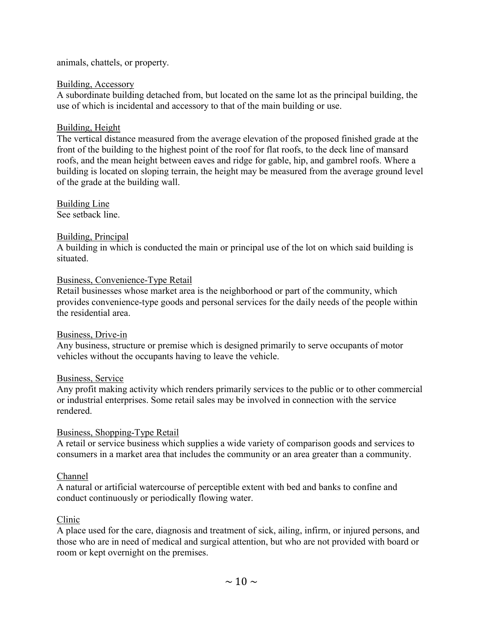animals, chattels, or property.

#### Building, Accessory

A subordinate building detached from, but located on the same lot as the principal building, the use of which is incidental and accessory to that of the main building or use.

#### Building, Height

The vertical distance measured from the average elevation of the proposed finished grade at the front of the building to the highest point of the roof for flat roofs, to the deck line of mansard roofs, and the mean height between eaves and ridge for gable, hip, and gambrel roofs. Where a building is located on sloping terrain, the height may be measured from the average ground level of the grade at the building wall.

Building Line See setback line.

#### Building, Principal

A building in which is conducted the main or principal use of the lot on which said building is situated.

#### Business, Convenience-Type Retail

Retail businesses whose market area is the neighborhood or part of the community, which provides convenience-type goods and personal services for the daily needs of the people within the residential area.

#### Business, Drive-in

Any business, structure or premise which is designed primarily to serve occupants of motor vehicles without the occupants having to leave the vehicle.

#### Business, Service

Any profit making activity which renders primarily services to the public or to other commercial or industrial enterprises. Some retail sales may be involved in connection with the service rendered.

#### Business, Shopping-Type Retail

A retail or service business which supplies a wide variety of comparison goods and services to consumers in a market area that includes the community or an area greater than a community.

#### Channel

A natural or artificial watercourse of perceptible extent with bed and banks to confine and conduct continuously or periodically flowing water.

#### Clinic

A place used for the care, diagnosis and treatment of sick, ailing, infirm, or injured persons, and those who are in need of medical and surgical attention, but who are not provided with board or room or kept overnight on the premises.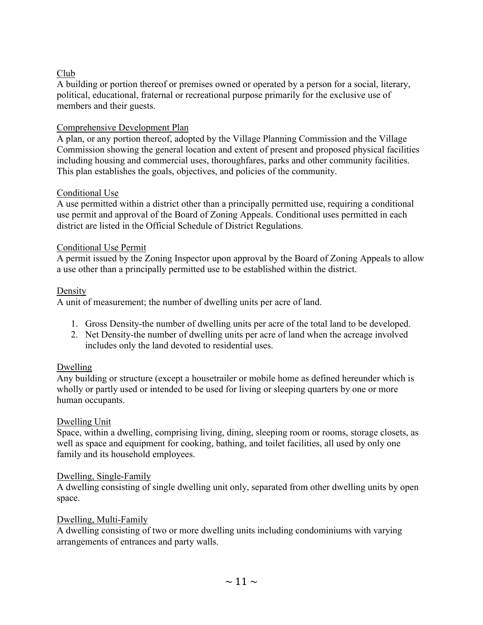# Club

A building or portion thereof or premises owned or operated by a person for a social, literary, political, educational, fraternal or recreational purpose primarily for the exclusive use of members and their guests.

#### Comprehensive Development Plan

A plan, or any portion thereof, adopted by the Village Planning Commission and the Village Commission showing the general location and extent of present and proposed physical facilities including housing and commercial uses, thoroughfares, parks and other community facilities. This plan establishes the goals, objectives, and policies of the community.

# Conditional Use

A use permitted within a district other than a principally permitted use, requiring a conditional use permit and approval of the Board of Zoning Appeals. Conditional uses permitted in each district are listed in the Official Schedule of District Regulations.

# Conditional Use Permit

A permit issued by the Zoning Inspector upon approval by the Board of Zoning Appeals to allow a use other than a principally permitted use to be established within the district.

# **Density**

A unit of measurement; the number of dwelling units per acre of land.

- 1. Gross Density-the number of dwelling units per acre of the total land to be developed.
- 2. Net Density-the number of dwelling units per acre of land when the acreage involved includes only the land devoted to residential uses.

# Dwelling

Any building or structure (except a housetrailer or mobile home as defined hereunder which is wholly or partly used or intended to be used for living or sleeping quarters by one or more human occupants.

# Dwelling Unit

Space, within a dwelling, comprising living, dining, sleeping room or rooms, storage closets, as well as space and equipment for cooking, bathing, and toilet facilities, all used by only one family and its household employees.

# Dwelling, Single-Family

A dwelling consisting of single dwelling unit only, separated from other dwelling units by open space.

#### Dwelling, Multi-Family

A dwelling consisting of two or more dwelling units including condominiums with varying arrangements of entrances and party walls.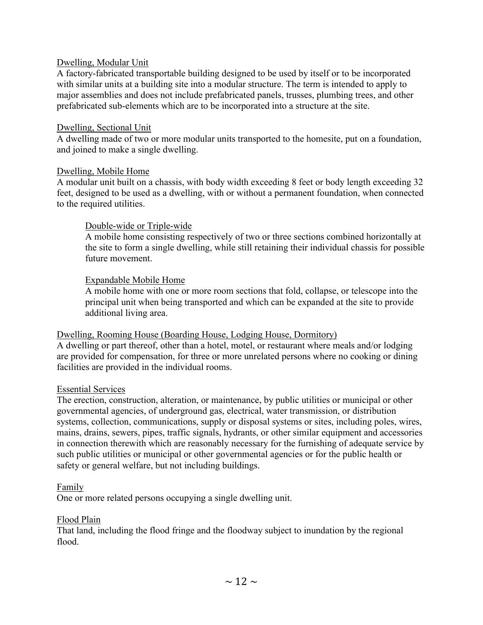#### Dwelling, Modular Unit

A factory-fabricated transportable building designed to be used by itself or to be incorporated with similar units at a building site into a modular structure. The term is intended to apply to major assemblies and does not include prefabricated panels, trusses, plumbing trees, and other prefabricated sub-elements which are to be incorporated into a structure at the site.

#### Dwelling, Sectional Unit

A dwelling made of two or more modular units transported to the homesite, put on a foundation, and joined to make a single dwelling.

#### Dwelling, Mobile Home

A modular unit built on a chassis, with body width exceeding 8 feet or body length exceeding 32 feet, designed to be used as a dwelling, with or without a permanent foundation, when connected to the required utilities.

#### Double-wide or Triple-wide

A mobile home consisting respectively of two or three sections combined horizontally at the site to form a single dwelling, while still retaining their individual chassis for possible future movement.

#### Expandable Mobile Home

A mobile home with one or more room sections that fold, collapse, or telescope into the principal unit when being transported and which can be expanded at the site to provide additional living area.

#### Dwelling, Rooming House (Boarding House, Lodging House, Dormitory)

A dwelling or part thereof, other than a hotel, motel, or restaurant where meals and/or lodging are provided for compensation, for three or more unrelated persons where no cooking or dining facilities are provided in the individual rooms.

#### Essential Services

The erection, construction, alteration, or maintenance, by public utilities or municipal or other governmental agencies, of underground gas, electrical, water transmission, or distribution systems, collection, communications, supply or disposal systems or sites, including poles, wires, mains, drains, sewers, pipes, traffic signals, hydrants, or other similar equipment and accessories in connection therewith which are reasonably necessary for the furnishing of adequate service by such public utilities or municipal or other governmental agencies or for the public health or safety or general welfare, but not including buildings.

#### Family

One or more related persons occupying a single dwelling unit.

#### Flood Plain

That land, including the flood fringe and the floodway subject to inundation by the regional flood.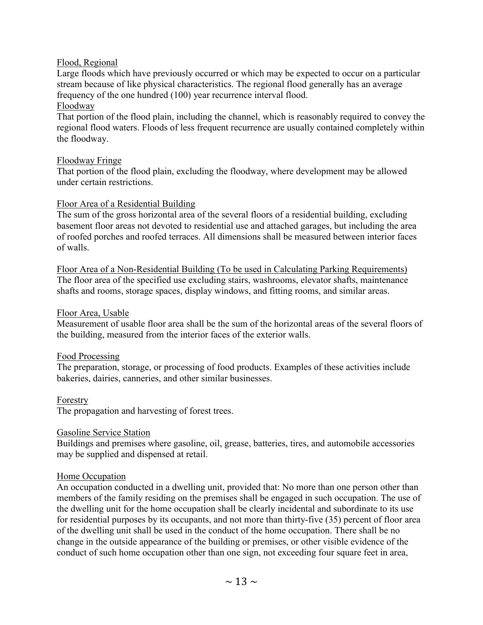#### Flood, Regional

Large floods which have previously occurred or which may be expected to occur on a particular stream because of like physical characteristics. The regional flood generally has an average frequency of the one hundred (100) year recurrence interval flood.

#### Floodway

That portion of the flood plain, including the channel, which is reasonably required to convey the regional flood waters. Floods of less frequent recurrence are usually contained completely within the floodway.

#### Floodway Fringe

That portion of the flood plain, excluding the floodway, where development may be allowed under certain restrictions.

#### Floor Area of a Residential Building

The sum of the gross horizontal area of the several floors of a residential building, excluding basement floor areas not devoted to residential use and attached garages, but including the area of roofed porches and roofed terraces. All dimensions shall be measured between interior faces of walls.

Floor Area of a Non-Residential Building (To be used in Calculating Parking Requirements) The floor area of the specified use excluding stairs, washrooms, elevator shafts, maintenance shafts and rooms, storage spaces, display windows, and fitting rooms, and similar areas.

#### Floor Area, Usable

Measurement of usable floor area shall be the sum of the horizontal areas of the several floors of the building, measured from the interior faces of the exterior walls.

#### Food Processing

The preparation, storage, or processing of food products. Examples of these activities include bakeries, dairies, canneries, and other similar businesses.

#### Forestry

The propagation and harvesting of forest trees.

#### Gasoline Service Station

Buildings and premises where gasoline, oil, grease, batteries, tires, and automobile accessories may be supplied and dispensed at retail.

#### Home Occupation

An occupation conducted in a dwelling unit, provided that: No more than one person other than members of the family residing on the premises shall be engaged in such occupation. The use of the dwelling unit for the home occupation shall be clearly incidental and subordinate to its use for residential purposes by its occupants, and not more than thirty-five (35) percent of floor area of the dwelling unit shall be used in the conduct of the home occupation. There shall be no change in the outside appearance of the building or premises, or other visible evidence of the conduct of such home occupation other than one sign, not exceeding four square feet in area,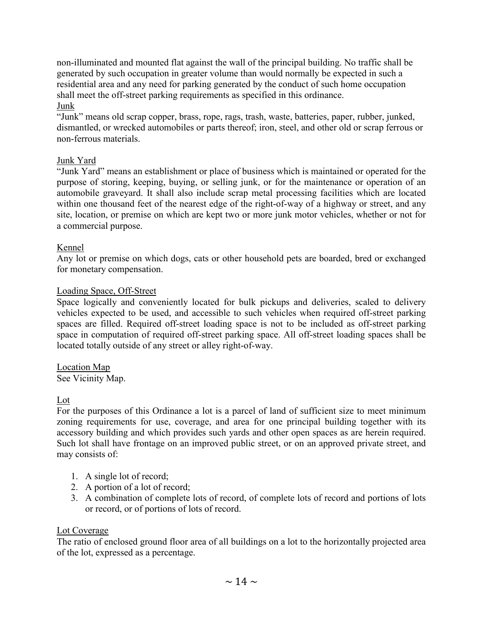non-illuminated and mounted flat against the wall of the principal building. No traffic shall be generated by such occupation in greater volume than would normally be expected in such a residential area and any need for parking generated by the conduct of such home occupation shall meet the off-street parking requirements as specified in this ordinance. Junk

"Junk" means old scrap copper, brass, rope, rags, trash, waste, batteries, paper, rubber, junked, dismantled, or wrecked automobiles or parts thereof; iron, steel, and other old or scrap ferrous or non-ferrous materials.

# Junk Yard

"Junk Yard" means an establishment or place of business which is maintained or operated for the purpose of storing, keeping, buying, or selling junk, or for the maintenance or operation of an automobile graveyard. It shall also include scrap metal processing facilities which are located within one thousand feet of the nearest edge of the right-of-way of a highway or street, and any site, location, or premise on which are kept two or more junk motor vehicles, whether or not for a commercial purpose.

# Kennel

Any lot or premise on which dogs, cats or other household pets are boarded, bred or exchanged for monetary compensation.

# Loading Space, Off-Street

Space logically and conveniently located for bulk pickups and deliveries, scaled to delivery vehicles expected to be used, and accessible to such vehicles when required off-street parking spaces are filled. Required off-street loading space is not to be included as off-street parking space in computation of required off-street parking space. All off-street loading spaces shall be located totally outside of any street or alley right-of-way.

Location Map

See Vicinity Map.

Lot

For the purposes of this Ordinance a lot is a parcel of land of sufficient size to meet minimum zoning requirements for use, coverage, and area for one principal building together with its accessory building and which provides such yards and other open spaces as are herein required. Such lot shall have frontage on an improved public street, or on an approved private street, and may consists of:

- 1. A single lot of record;
- 2. A portion of a lot of record;
- 3. A combination of complete lots of record, of complete lots of record and portions of lots or record, or of portions of lots of record.

# Lot Coverage

The ratio of enclosed ground floor area of all buildings on a lot to the horizontally projected area of the lot, expressed as a percentage.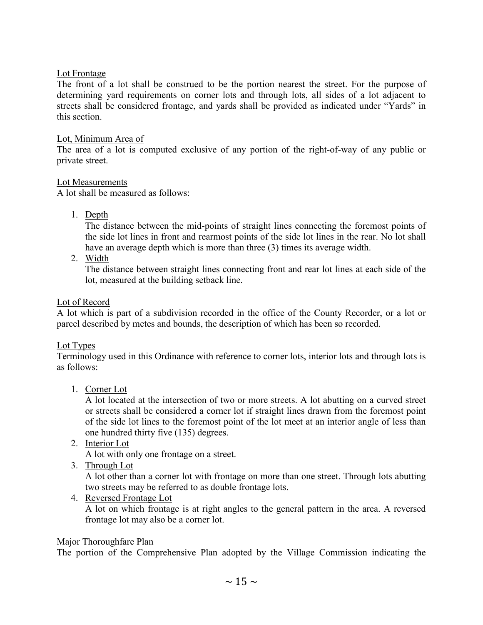#### Lot Frontage

The front of a lot shall be construed to be the portion nearest the street. For the purpose of determining yard requirements on corner lots and through lots, all sides of a lot adjacent to streets shall be considered frontage, and yards shall be provided as indicated under "Yards" in this section.

#### Lot, Minimum Area of

The area of a lot is computed exclusive of any portion of the right-of-way of any public or private street.

# Lot Measurements

 $\overline{A}$  lot shall be measured as follows:

1. Depth

The distance between the mid-points of straight lines connecting the foremost points of the side lot lines in front and rearmost points of the side lot lines in the rear. No lot shall have an average depth which is more than three (3) times its average width.

2. Width

The distance between straight lines connecting front and rear lot lines at each side of the lot, measured at the building setback line.

# Lot of Record

A lot which is part of a subdivision recorded in the office of the County Recorder, or a lot or parcel described by metes and bounds, the description of which has been so recorded.

# Lot Types

Terminology used in this Ordinance with reference to corner lots, interior lots and through lots is as follows:

1. Corner Lot

A lot located at the intersection of two or more streets. A lot abutting on a curved street or streets shall be considered a corner lot if straight lines drawn from the foremost point of the side lot lines to the foremost point of the lot meet at an interior angle of less than one hundred thirty five (135) degrees.

2. Interior Lot

A lot with only one frontage on a street.

3. Through Lot

A lot other than a corner lot with frontage on more than one street. Through lots abutting two streets may be referred to as double frontage lots.

4. Reversed Frontage Lot

A lot on which frontage is at right angles to the general pattern in the area. A reversed frontage lot may also be a corner lot.

#### Major Thoroughfare Plan

The portion of the Comprehensive Plan adopted by the Village Commission indicating the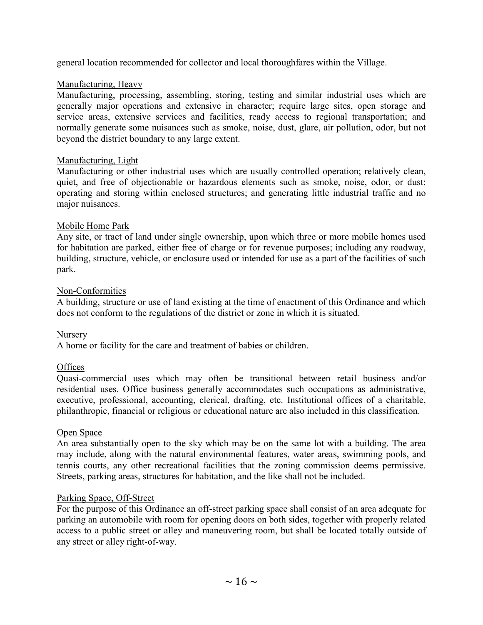general location recommended for collector and local thoroughfares within the Village.

#### Manufacturing, Heavy

Manufacturing, processing, assembling, storing, testing and similar industrial uses which are generally major operations and extensive in character; require large sites, open storage and service areas, extensive services and facilities, ready access to regional transportation; and normally generate some nuisances such as smoke, noise, dust, glare, air pollution, odor, but not beyond the district boundary to any large extent.

# Manufacturing, Light

Manufacturing or other industrial uses which are usually controlled operation; relatively clean, quiet, and free of objectionable or hazardous elements such as smoke, noise, odor, or dust; operating and storing within enclosed structures; and generating little industrial traffic and no major nuisances.

# Mobile Home Park

Any site, or tract of land under single ownership, upon which three or more mobile homes used for habitation are parked, either free of charge or for revenue purposes; including any roadway, building, structure, vehicle, or enclosure used or intended for use as a part of the facilities of such park.

# Non-Conformities

A building, structure or use of land existing at the time of enactment of this Ordinance and which does not conform to the regulations of the district or zone in which it is situated.

# Nursery

A home or facility for the care and treatment of babies or children.

# **Offices**

Quasi-commercial uses which may often be transitional between retail business and/or residential uses. Office business generally accommodates such occupations as administrative, executive, professional, accounting, clerical, drafting, etc. Institutional offices of a charitable, philanthropic, financial or religious or educational nature are also included in this classification.

#### Open Space

An area substantially open to the sky which may be on the same lot with a building. The area may include, along with the natural environmental features, water areas, swimming pools, and tennis courts, any other recreational facilities that the zoning commission deems permissive. Streets, parking areas, structures for habitation, and the like shall not be included.

#### Parking Space, Off-Street

For the purpose of this Ordinance an off-street parking space shall consist of an area adequate for parking an automobile with room for opening doors on both sides, together with properly related access to a public street or alley and maneuvering room, but shall be located totally outside of any street or alley right-of-way.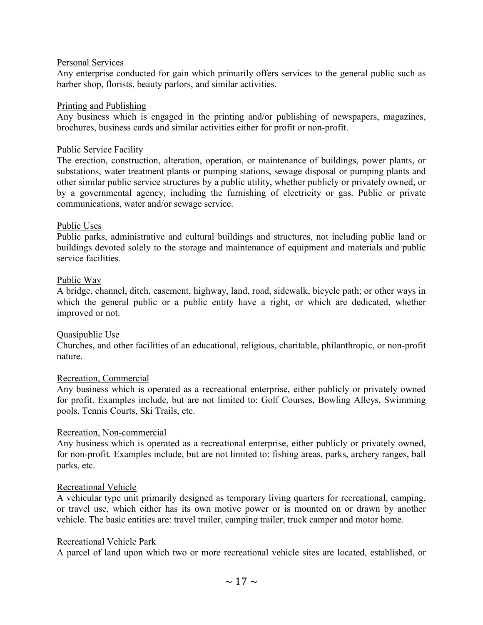#### Personal Services

Any enterprise conducted for gain which primarily offers services to the general public such as barber shop, florists, beauty parlors, and similar activities.

#### Printing and Publishing

Any business which is engaged in the printing and/or publishing of newspapers, magazines, brochures, business cards and similar activities either for profit or non-profit.

#### Public Service Facility

The erection, construction, alteration, operation, or maintenance of buildings, power plants, or substations, water treatment plants or pumping stations, sewage disposal or pumping plants and other similar public service structures by a public utility, whether publicly or privately owned, or by a governmental agency, including the furnishing of electricity or gas. Public or private communications, water and/or sewage service.

#### Public Uses

Public parks, administrative and cultural buildings and structures, not including public land or buildings devoted solely to the storage and maintenance of equipment and materials and public service facilities.

#### Public Way

A bridge, channel, ditch, easement, highway, land, road, sidewalk, bicycle path; or other ways in which the general public or a public entity have a right, or which are dedicated, whether improved or not.

#### Quasipublic Use

Churches, and other facilities of an educational, religious, charitable, philanthropic, or non-profit nature.

#### Recreation, Commercial

Any business which is operated as a recreational enterprise, either publicly or privately owned for profit. Examples include, but are not limited to: Golf Courses, Bowling Alleys, Swimming pools, Tennis Courts, Ski Trails, etc.

#### Recreation, Non-commercial

Any business which is operated as a recreational enterprise, either publicly or privately owned, for non-profit. Examples include, but are not limited to: fishing areas, parks, archery ranges, ball parks, etc.

#### Recreational Vehicle

A vehicular type unit primarily designed as temporary living quarters for recreational, camping, or travel use, which either has its own motive power or is mounted on or drawn by another vehicle. The basic entities are: travel trailer, camping trailer, truck camper and motor home.

#### Recreational Vehicle Park

A parcel of land upon which two or more recreational vehicle sites are located, established, or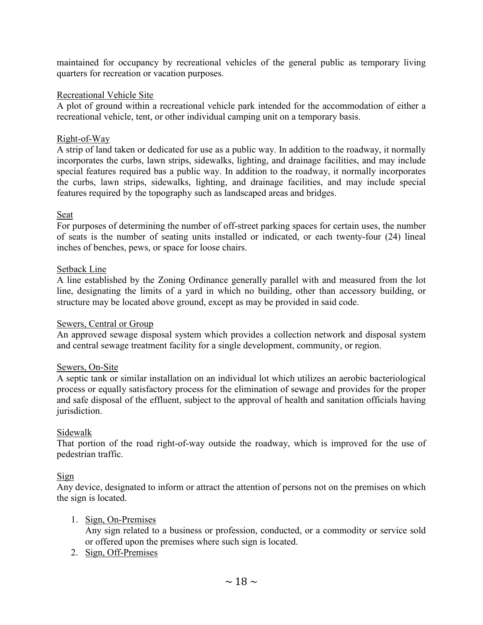maintained for occupancy by recreational vehicles of the general public as temporary living quarters for recreation or vacation purposes.

#### Recreational Vehicle Site

A plot of ground within a recreational vehicle park intended for the accommodation of either a recreational vehicle, tent, or other individual camping unit on a temporary basis.

# Right-of-Way

A strip of land taken or dedicated for use as a public way. In addition to the roadway, it normally incorporates the curbs, lawn strips, sidewalks, lighting, and drainage facilities, and may include special features required bas a public way. In addition to the roadway, it normally incorporates the curbs, lawn strips, sidewalks, lighting, and drainage facilities, and may include special features required by the topography such as landscaped areas and bridges.

# Seat

For purposes of determining the number of off-street parking spaces for certain uses, the number of seats is the number of seating units installed or indicated, or each twenty-four (24) lineal inches of benches, pews, or space for loose chairs.

# Setback Line

A line established by the Zoning Ordinance generally parallel with and measured from the lot line, designating the limits of a yard in which no building, other than accessory building, or structure may be located above ground, except as may be provided in said code.

#### Sewers, Central or Group

An approved sewage disposal system which provides a collection network and disposal system and central sewage treatment facility for a single development, community, or region.

#### Sewers, On-Site

A septic tank or similar installation on an individual lot which utilizes an aerobic bacteriological process or equally satisfactory process for the elimination of sewage and provides for the proper and safe disposal of the effluent, subject to the approval of health and sanitation officials having jurisdiction.

#### Sidewalk

That portion of the road right-of-way outside the roadway, which is improved for the use of pedestrian traffic.

# Sign

Any device, designated to inform or attract the attention of persons not on the premises on which the sign is located.

1. Sign, On-Premises

Any sign related to a business or profession, conducted, or a commodity or service sold or offered upon the premises where such sign is located.

2. Sign, Off-Premises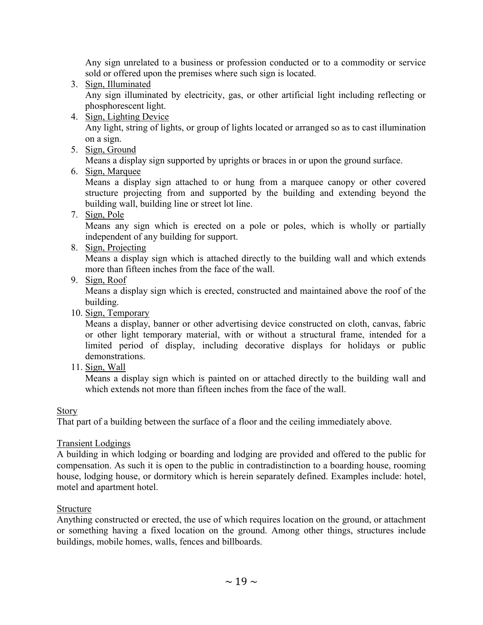Any sign unrelated to a business or profession conducted or to a commodity or service sold or offered upon the premises where such sign is located.

3. Sign, Illuminated

Any sign illuminated by electricity, gas, or other artificial light including reflecting or phosphorescent light.

4. Sign, Lighting Device

Any light, string of lights, or group of lights located or arranged so as to cast illumination on a sign.

5. Sign, Ground

Means a display sign supported by uprights or braces in or upon the ground surface.

6. Sign, Marquee

Means a display sign attached to or hung from a marquee canopy or other covered structure projecting from and supported by the building and extending beyond the building wall, building line or street lot line.

7. Sign, Pole

Means any sign which is erected on a pole or poles, which is wholly or partially independent of any building for support.

8. Sign, Projecting

Means a display sign which is attached directly to the building wall and which extends more than fifteen inches from the face of the wall.

9. Sign, Roof

Means a display sign which is erected, constructed and maintained above the roof of the building.

10. Sign, Temporary

Means a display, banner or other advertising device constructed on cloth, canvas, fabric or other light temporary material, with or without a structural frame, intended for a limited period of display, including decorative displays for holidays or public demonstrations.

11. Sign, Wall

Means a display sign which is painted on or attached directly to the building wall and which extends not more than fifteen inches from the face of the wall.

Story

That part of a building between the surface of a floor and the ceiling immediately above.

#### Transient Lodgings

A building in which lodging or boarding and lodging are provided and offered to the public for compensation. As such it is open to the public in contradistinction to a boarding house, rooming house, lodging house, or dormitory which is herein separately defined. Examples include: hotel, motel and apartment hotel.

#### Structure

Anything constructed or erected, the use of which requires location on the ground, or attachment or something having a fixed location on the ground. Among other things, structures include buildings, mobile homes, walls, fences and billboards.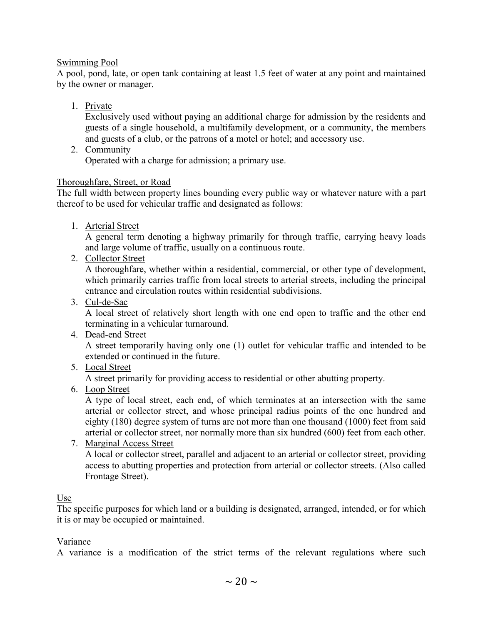#### Swimming Pool

A pool, pond, late, or open tank containing at least 1.5 feet of water at any point and maintained by the owner or manager.

1. Private

Exclusively used without paying an additional charge for admission by the residents and guests of a single household, a multifamily development, or a community, the members and guests of a club, or the patrons of a motel or hotel; and accessory use.

2. Community

Operated with a charge for admission; a primary use.

# Thoroughfare, Street, or Road

The full width between property lines bounding every public way or whatever nature with a part thereof to be used for vehicular traffic and designated as follows:

1. Arterial Street

A general term denoting a highway primarily for through traffic, carrying heavy loads and large volume of traffic, usually on a continuous route.

2. Collector Street

A thoroughfare, whether within a residential, commercial, or other type of development, which primarily carries traffic from local streets to arterial streets, including the principal entrance and circulation routes within residential subdivisions.

3. Cul-de-Sac

A local street of relatively short length with one end open to traffic and the other end terminating in a vehicular turnaround.

4. Dead-end Street

A street temporarily having only one (1) outlet for vehicular traffic and intended to be extended or continued in the future.

5. Local Street

A street primarily for providing access to residential or other abutting property.

6. Loop Street

A type of local street, each end, of which terminates at an intersection with the same arterial or collector street, and whose principal radius points of the one hundred and eighty (180) degree system of turns are not more than one thousand (1000) feet from said arterial or collector street, nor normally more than six hundred (600) feet from each other.

7. Marginal Access Street

A local or collector street, parallel and adjacent to an arterial or collector street, providing access to abutting properties and protection from arterial or collector streets. (Also called Frontage Street).

#### Use

The specific purposes for which land or a building is designated, arranged, intended, or for which it is or may be occupied or maintained.

#### Variance

A variance is a modification of the strict terms of the relevant regulations where such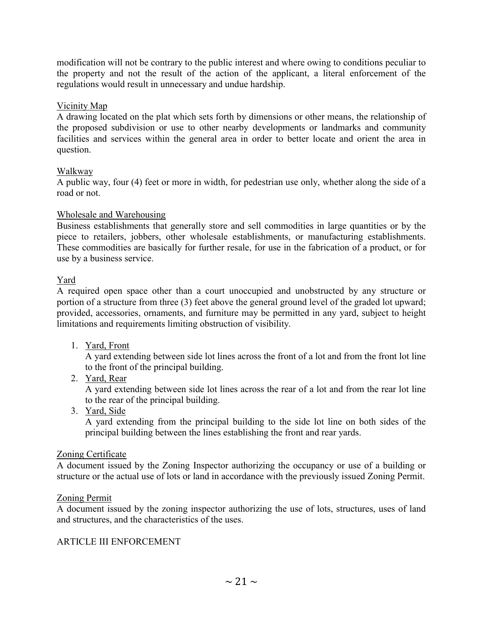modification will not be contrary to the public interest and where owing to conditions peculiar to the property and not the result of the action of the applicant, a literal enforcement of the regulations would result in unnecessary and undue hardship.

# Vicinity Map

A drawing located on the plat which sets forth by dimensions or other means, the relationship of the proposed subdivision or use to other nearby developments or landmarks and community facilities and services within the general area in order to better locate and orient the area in question.

#### Walkway

A public way, four (4) feet or more in width, for pedestrian use only, whether along the side of a road or not.

# Wholesale and Warehousing

Business establishments that generally store and sell commodities in large quantities or by the piece to retailers, jobbers, other wholesale establishments, or manufacturing establishments. These commodities are basically for further resale, for use in the fabrication of a product, or for use by a business service.

# Yard

A required open space other than a court unoccupied and unobstructed by any structure or portion of a structure from three (3) feet above the general ground level of the graded lot upward; provided, accessories, ornaments, and furniture may be permitted in any yard, subject to height limitations and requirements limiting obstruction of visibility.

1. Yard, Front

A yard extending between side lot lines across the front of a lot and from the front lot line to the front of the principal building.

2. Yard, Rear

A yard extending between side lot lines across the rear of a lot and from the rear lot line to the rear of the principal building.

3. Yard, Side

A yard extending from the principal building to the side lot line on both sides of the principal building between the lines establishing the front and rear yards.

#### Zoning Certificate

A document issued by the Zoning Inspector authorizing the occupancy or use of a building or structure or the actual use of lots or land in accordance with the previously issued Zoning Permit.

#### Zoning Permit

A document issued by the zoning inspector authorizing the use of lots, structures, uses of land and structures, and the characteristics of the uses.

#### ARTICLE III ENFORCEMENT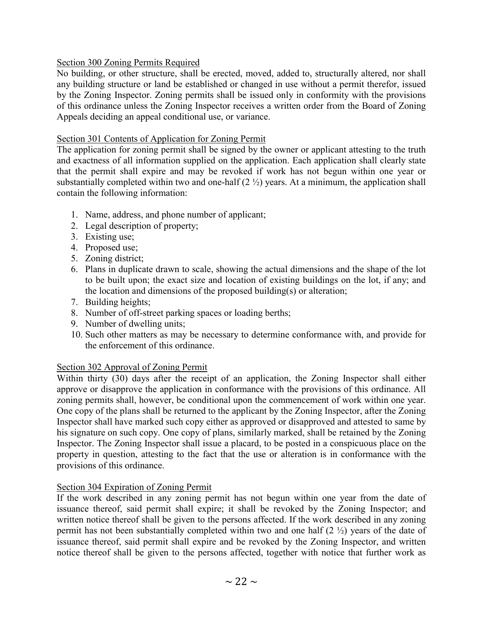# Section 300 Zoning Permits Required

No building, or other structure, shall be erected, moved, added to, structurally altered, nor shall any building structure or land be established or changed in use without a permit therefor, issued by the Zoning Inspector. Zoning permits shall be issued only in conformity with the provisions of this ordinance unless the Zoning Inspector receives a written order from the Board of Zoning Appeals deciding an appeal conditional use, or variance.

# Section 301 Contents of Application for Zoning Permit

The application for zoning permit shall be signed by the owner or applicant attesting to the truth and exactness of all information supplied on the application. Each application shall clearly state that the permit shall expire and may be revoked if work has not begun within one year or substantially completed within two and one-half  $(2 \frac{1}{2})$  years. At a minimum, the application shall contain the following information:

- 1. Name, address, and phone number of applicant;
- 2. Legal description of property;
- 3. Existing use;
- 4. Proposed use;
- 5. Zoning district;
- 6. Plans in duplicate drawn to scale, showing the actual dimensions and the shape of the lot to be built upon; the exact size and location of existing buildings on the lot, if any; and the location and dimensions of the proposed building(s) or alteration;
- 7. Building heights;
- 8. Number of off-street parking spaces or loading berths;
- 9. Number of dwelling units;
- 10. Such other matters as may be necessary to determine conformance with, and provide for the enforcement of this ordinance.

# Section 302 Approval of Zoning Permit

Within thirty (30) days after the receipt of an application, the Zoning Inspector shall either approve or disapprove the application in conformance with the provisions of this ordinance. All zoning permits shall, however, be conditional upon the commencement of work within one year. One copy of the plans shall be returned to the applicant by the Zoning Inspector, after the Zoning Inspector shall have marked such copy either as approved or disapproved and attested to same by his signature on such copy. One copy of plans, similarly marked, shall be retained by the Zoning Inspector. The Zoning Inspector shall issue a placard, to be posted in a conspicuous place on the property in question, attesting to the fact that the use or alteration is in conformance with the provisions of this ordinance.

# Section 304 Expiration of Zoning Permit

If the work described in any zoning permit has not begun within one year from the date of issuance thereof, said permit shall expire; it shall be revoked by the Zoning Inspector; and written notice thereof shall be given to the persons affected. If the work described in any zoning permit has not been substantially completed within two and one half (2 ½) years of the date of issuance thereof, said permit shall expire and be revoked by the Zoning Inspector, and written notice thereof shall be given to the persons affected, together with notice that further work as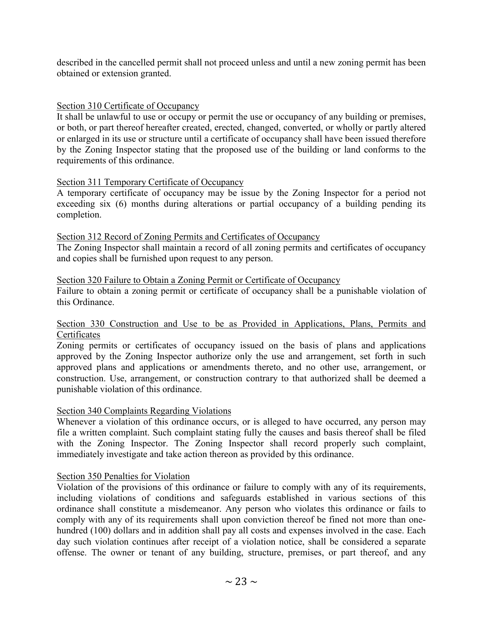described in the cancelled permit shall not proceed unless and until a new zoning permit has been obtained or extension granted.

#### Section 310 Certificate of Occupancy

It shall be unlawful to use or occupy or permit the use or occupancy of any building or premises, or both, or part thereof hereafter created, erected, changed, converted, or wholly or partly altered or enlarged in its use or structure until a certificate of occupancy shall have been issued therefore by the Zoning Inspector stating that the proposed use of the building or land conforms to the requirements of this ordinance.

#### Section 311 Temporary Certificate of Occupancy

A temporary certificate of occupancy may be issue by the Zoning Inspector for a period not exceeding six (6) months during alterations or partial occupancy of a building pending its completion.

#### Section 312 Record of Zoning Permits and Certificates of Occupancy

The Zoning Inspector shall maintain a record of all zoning permits and certificates of occupancy and copies shall be furnished upon request to any person.

#### Section 320 Failure to Obtain a Zoning Permit or Certificate of Occupancy

Failure to obtain a zoning permit or certificate of occupancy shall be a punishable violation of this Ordinance.

#### Section 330 Construction and Use to be as Provided in Applications, Plans, Permits and Certificates

Zoning permits or certificates of occupancy issued on the basis of plans and applications approved by the Zoning Inspector authorize only the use and arrangement, set forth in such approved plans and applications or amendments thereto, and no other use, arrangement, or construction. Use, arrangement, or construction contrary to that authorized shall be deemed a punishable violation of this ordinance.

#### Section 340 Complaints Regarding Violations

Whenever a violation of this ordinance occurs, or is alleged to have occurred, any person may file a written complaint. Such complaint stating fully the causes and basis thereof shall be filed with the Zoning Inspector. The Zoning Inspector shall record properly such complaint, immediately investigate and take action thereon as provided by this ordinance.

#### Section 350 Penalties for Violation

Violation of the provisions of this ordinance or failure to comply with any of its requirements, including violations of conditions and safeguards established in various sections of this ordinance shall constitute a misdemeanor. Any person who violates this ordinance or fails to comply with any of its requirements shall upon conviction thereof be fined not more than onehundred (100) dollars and in addition shall pay all costs and expenses involved in the case. Each day such violation continues after receipt of a violation notice, shall be considered a separate offense. The owner or tenant of any building, structure, premises, or part thereof, and any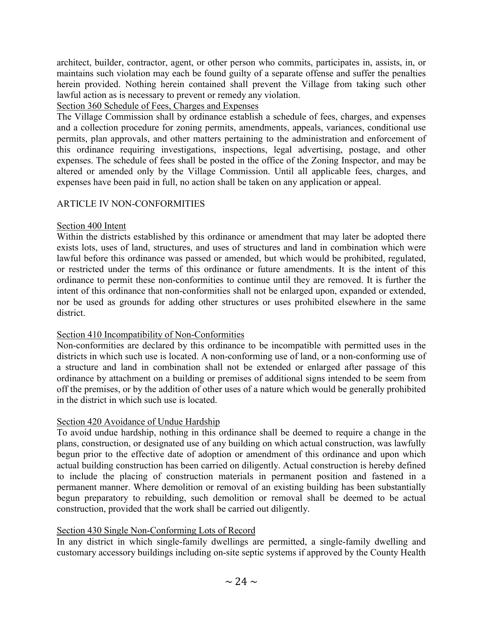architect, builder, contractor, agent, or other person who commits, participates in, assists, in, or maintains such violation may each be found guilty of a separate offense and suffer the penalties herein provided. Nothing herein contained shall prevent the Village from taking such other lawful action as is necessary to prevent or remedy any violation.

# Section 360 Schedule of Fees, Charges and Expenses

The Village Commission shall by ordinance establish a schedule of fees, charges, and expenses and a collection procedure for zoning permits, amendments, appeals, variances, conditional use permits, plan approvals, and other matters pertaining to the administration and enforcement of this ordinance requiring investigations, inspections, legal advertising, postage, and other expenses. The schedule of fees shall be posted in the office of the Zoning Inspector, and may be altered or amended only by the Village Commission. Until all applicable fees, charges, and expenses have been paid in full, no action shall be taken on any application or appeal.

# ARTICLE IV NON-CONFORMITIES

# Section 400 Intent

Within the districts established by this ordinance or amendment that may later be adopted there exists lots, uses of land, structures, and uses of structures and land in combination which were lawful before this ordinance was passed or amended, but which would be prohibited, regulated, or restricted under the terms of this ordinance or future amendments. It is the intent of this ordinance to permit these non-conformities to continue until they are removed. It is further the intent of this ordinance that non-conformities shall not be enlarged upon, expanded or extended, nor be used as grounds for adding other structures or uses prohibited elsewhere in the same district.

# Section 410 Incompatibility of Non-Conformities

Non-conformities are declared by this ordinance to be incompatible with permitted uses in the districts in which such use is located. A non-conforming use of land, or a non-conforming use of a structure and land in combination shall not be extended or enlarged after passage of this ordinance by attachment on a building or premises of additional signs intended to be seem from off the premises, or by the addition of other uses of a nature which would be generally prohibited in the district in which such use is located.

# Section 420 Avoidance of Undue Hardship

To avoid undue hardship, nothing in this ordinance shall be deemed to require a change in the plans, construction, or designated use of any building on which actual construction, was lawfully begun prior to the effective date of adoption or amendment of this ordinance and upon which actual building construction has been carried on diligently. Actual construction is hereby defined to include the placing of construction materials in permanent position and fastened in a permanent manner. Where demolition or removal of an existing building has been substantially begun preparatory to rebuilding, such demolition or removal shall be deemed to be actual construction, provided that the work shall be carried out diligently.

# Section 430 Single Non-Conforming Lots of Record

In any district in which single-family dwellings are permitted, a single-family dwelling and customary accessory buildings including on-site septic systems if approved by the County Health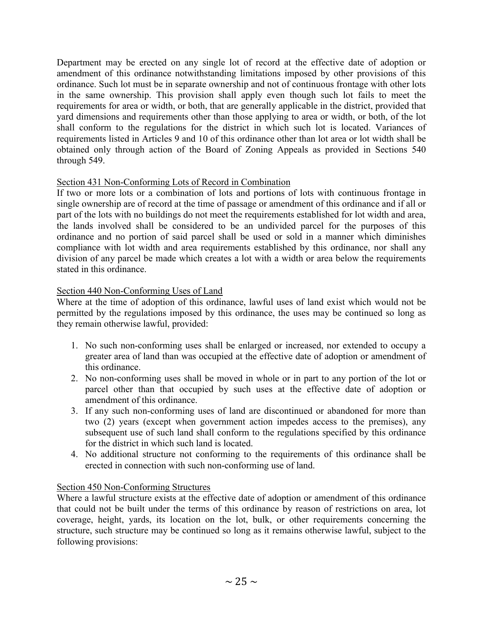Department may be erected on any single lot of record at the effective date of adoption or amendment of this ordinance notwithstanding limitations imposed by other provisions of this ordinance. Such lot must be in separate ownership and not of continuous frontage with other lots in the same ownership. This provision shall apply even though such lot fails to meet the requirements for area or width, or both, that are generally applicable in the district, provided that yard dimensions and requirements other than those applying to area or width, or both, of the lot shall conform to the regulations for the district in which such lot is located. Variances of requirements listed in Articles 9 and 10 of this ordinance other than lot area or lot width shall be obtained only through action of the Board of Zoning Appeals as provided in Sections 540 through 549.

# Section 431 Non-Conforming Lots of Record in Combination

If two or more lots or a combination of lots and portions of lots with continuous frontage in single ownership are of record at the time of passage or amendment of this ordinance and if all or part of the lots with no buildings do not meet the requirements established for lot width and area, the lands involved shall be considered to be an undivided parcel for the purposes of this ordinance and no portion of said parcel shall be used or sold in a manner which diminishes compliance with lot width and area requirements established by this ordinance, nor shall any division of any parcel be made which creates a lot with a width or area below the requirements stated in this ordinance.

# Section 440 Non-Conforming Uses of Land

Where at the time of adoption of this ordinance, lawful uses of land exist which would not be permitted by the regulations imposed by this ordinance, the uses may be continued so long as they remain otherwise lawful, provided:

- 1. No such non-conforming uses shall be enlarged or increased, nor extended to occupy a greater area of land than was occupied at the effective date of adoption or amendment of this ordinance.
- 2. No non-conforming uses shall be moved in whole or in part to any portion of the lot or parcel other than that occupied by such uses at the effective date of adoption or amendment of this ordinance.
- 3. If any such non-conforming uses of land are discontinued or abandoned for more than two (2) years (except when government action impedes access to the premises), any subsequent use of such land shall conform to the regulations specified by this ordinance for the district in which such land is located.
- 4. No additional structure not conforming to the requirements of this ordinance shall be erected in connection with such non-conforming use of land.

# Section 450 Non-Conforming Structures

Where a lawful structure exists at the effective date of adoption or amendment of this ordinance that could not be built under the terms of this ordinance by reason of restrictions on area, lot coverage, height, yards, its location on the lot, bulk, or other requirements concerning the structure, such structure may be continued so long as it remains otherwise lawful, subject to the following provisions: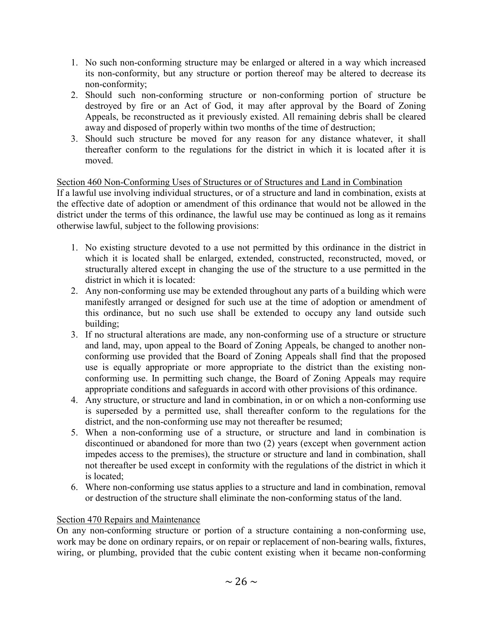- 1. No such non-conforming structure may be enlarged or altered in a way which increased its non-conformity, but any structure or portion thereof may be altered to decrease its non-conformity;
- 2. Should such non-conforming structure or non-conforming portion of structure be destroyed by fire or an Act of God, it may after approval by the Board of Zoning Appeals, be reconstructed as it previously existed. All remaining debris shall be cleared away and disposed of properly within two months of the time of destruction;
- 3. Should such structure be moved for any reason for any distance whatever, it shall thereafter conform to the regulations for the district in which it is located after it is moved.

# Section 460 Non-Conforming Uses of Structures or of Structures and Land in Combination

If a lawful use involving individual structures, or of a structure and land in combination, exists at the effective date of adoption or amendment of this ordinance that would not be allowed in the district under the terms of this ordinance, the lawful use may be continued as long as it remains otherwise lawful, subject to the following provisions:

- 1. No existing structure devoted to a use not permitted by this ordinance in the district in which it is located shall be enlarged, extended, constructed, reconstructed, moved, or structurally altered except in changing the use of the structure to a use permitted in the district in which it is located:
- 2. Any non-conforming use may be extended throughout any parts of a building which were manifestly arranged or designed for such use at the time of adoption or amendment of this ordinance, but no such use shall be extended to occupy any land outside such building;
- 3. If no structural alterations are made, any non-conforming use of a structure or structure and land, may, upon appeal to the Board of Zoning Appeals, be changed to another nonconforming use provided that the Board of Zoning Appeals shall find that the proposed use is equally appropriate or more appropriate to the district than the existing nonconforming use. In permitting such change, the Board of Zoning Appeals may require appropriate conditions and safeguards in accord with other provisions of this ordinance.
- 4. Any structure, or structure and land in combination, in or on which a non-conforming use is superseded by a permitted use, shall thereafter conform to the regulations for the district, and the non-conforming use may not thereafter be resumed;
- 5. When a non-conforming use of a structure, or structure and land in combination is discontinued or abandoned for more than two (2) years (except when government action impedes access to the premises), the structure or structure and land in combination, shall not thereafter be used except in conformity with the regulations of the district in which it is located;
- 6. Where non-conforming use status applies to a structure and land in combination, removal or destruction of the structure shall eliminate the non-conforming status of the land.

# Section 470 Repairs and Maintenance

On any non-conforming structure or portion of a structure containing a non-conforming use, work may be done on ordinary repairs, or on repair or replacement of non-bearing walls, fixtures, wiring, or plumbing, provided that the cubic content existing when it became non-conforming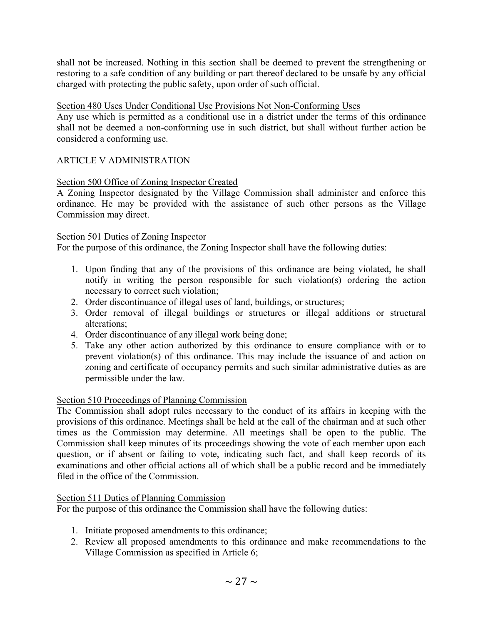shall not be increased. Nothing in this section shall be deemed to prevent the strengthening or restoring to a safe condition of any building or part thereof declared to be unsafe by any official charged with protecting the public safety, upon order of such official.

#### Section 480 Uses Under Conditional Use Provisions Not Non-Conforming Uses

Any use which is permitted as a conditional use in a district under the terms of this ordinance shall not be deemed a non-conforming use in such district, but shall without further action be considered a conforming use.

# ARTICLE V ADMINISTRATION

# Section 500 Office of Zoning Inspector Created

A Zoning Inspector designated by the Village Commission shall administer and enforce this ordinance. He may be provided with the assistance of such other persons as the Village Commission may direct.

#### Section 501 Duties of Zoning Inspector

For the purpose of this ordinance, the Zoning Inspector shall have the following duties:

- 1. Upon finding that any of the provisions of this ordinance are being violated, he shall notify in writing the person responsible for such violation(s) ordering the action necessary to correct such violation;
- 2. Order discontinuance of illegal uses of land, buildings, or structures;
- 3. Order removal of illegal buildings or structures or illegal additions or structural alterations;
- 4. Order discontinuance of any illegal work being done;
- 5. Take any other action authorized by this ordinance to ensure compliance with or to prevent violation(s) of this ordinance. This may include the issuance of and action on zoning and certificate of occupancy permits and such similar administrative duties as are permissible under the law.

#### Section 510 Proceedings of Planning Commission

The Commission shall adopt rules necessary to the conduct of its affairs in keeping with the provisions of this ordinance. Meetings shall be held at the call of the chairman and at such other times as the Commission may determine. All meetings shall be open to the public. The Commission shall keep minutes of its proceedings showing the vote of each member upon each question, or if absent or failing to vote, indicating such fact, and shall keep records of its examinations and other official actions all of which shall be a public record and be immediately filed in the office of the Commission.

#### Section 511 Duties of Planning Commission

For the purpose of this ordinance the Commission shall have the following duties:

- 1. Initiate proposed amendments to this ordinance;
- 2. Review all proposed amendments to this ordinance and make recommendations to the Village Commission as specified in Article 6;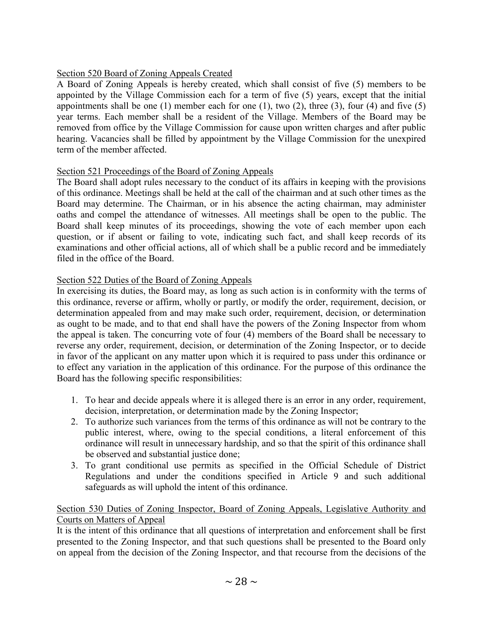# Section 520 Board of Zoning Appeals Created

A Board of Zoning Appeals is hereby created, which shall consist of five (5) members to be appointed by the Village Commission each for a term of five (5) years, except that the initial appointments shall be one (1) member each for one (1), two (2), three (3), four (4) and five (5) year terms. Each member shall be a resident of the Village. Members of the Board may be removed from office by the Village Commission for cause upon written charges and after public hearing. Vacancies shall be filled by appointment by the Village Commission for the unexpired term of the member affected.

# Section 521 Proceedings of the Board of Zoning Appeals

The Board shall adopt rules necessary to the conduct of its affairs in keeping with the provisions of this ordinance. Meetings shall be held at the call of the chairman and at such other times as the Board may determine. The Chairman, or in his absence the acting chairman, may administer oaths and compel the attendance of witnesses. All meetings shall be open to the public. The Board shall keep minutes of its proceedings, showing the vote of each member upon each question, or if absent or failing to vote, indicating such fact, and shall keep records of its examinations and other official actions, all of which shall be a public record and be immediately filed in the office of the Board.

# Section 522 Duties of the Board of Zoning Appeals

In exercising its duties, the Board may, as long as such action is in conformity with the terms of this ordinance, reverse or affirm, wholly or partly, or modify the order, requirement, decision, or determination appealed from and may make such order, requirement, decision, or determination as ought to be made, and to that end shall have the powers of the Zoning Inspector from whom the appeal is taken. The concurring vote of four (4) members of the Board shall be necessary to reverse any order, requirement, decision, or determination of the Zoning Inspector, or to decide in favor of the applicant on any matter upon which it is required to pass under this ordinance or to effect any variation in the application of this ordinance. For the purpose of this ordinance the Board has the following specific responsibilities:

- 1. To hear and decide appeals where it is alleged there is an error in any order, requirement, decision, interpretation, or determination made by the Zoning Inspector;
- 2. To authorize such variances from the terms of this ordinance as will not be contrary to the public interest, where, owing to the special conditions, a literal enforcement of this ordinance will result in unnecessary hardship, and so that the spirit of this ordinance shall be observed and substantial justice done;
- 3. To grant conditional use permits as specified in the Official Schedule of District Regulations and under the conditions specified in Article 9 and such additional safeguards as will uphold the intent of this ordinance.

# Section 530 Duties of Zoning Inspector, Board of Zoning Appeals, Legislative Authority and Courts on Matters of Appeal

It is the intent of this ordinance that all questions of interpretation and enforcement shall be first presented to the Zoning Inspector, and that such questions shall be presented to the Board only on appeal from the decision of the Zoning Inspector, and that recourse from the decisions of the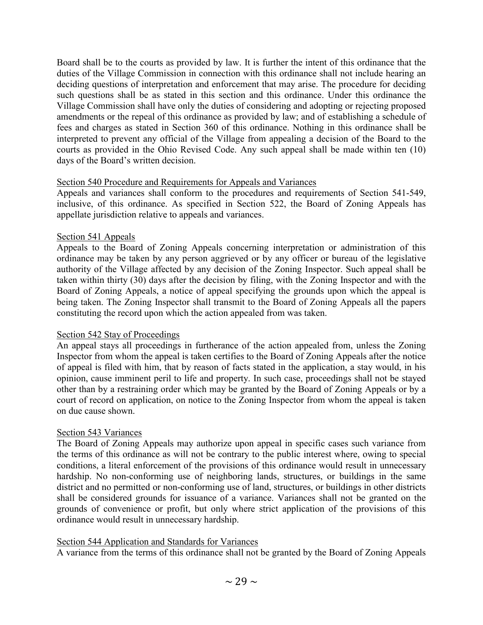Board shall be to the courts as provided by law. It is further the intent of this ordinance that the duties of the Village Commission in connection with this ordinance shall not include hearing an deciding questions of interpretation and enforcement that may arise. The procedure for deciding such questions shall be as stated in this section and this ordinance. Under this ordinance the Village Commission shall have only the duties of considering and adopting or rejecting proposed amendments or the repeal of this ordinance as provided by law; and of establishing a schedule of fees and charges as stated in Section 360 of this ordinance. Nothing in this ordinance shall be interpreted to prevent any official of the Village from appealing a decision of the Board to the courts as provided in the Ohio Revised Code. Any such appeal shall be made within ten (10) days of the Board's written decision.

#### Section 540 Procedure and Requirements for Appeals and Variances

Appeals and variances shall conform to the procedures and requirements of Section 541-549, inclusive, of this ordinance. As specified in Section 522, the Board of Zoning Appeals has appellate jurisdiction relative to appeals and variances.

#### Section 541 Appeals

Appeals to the Board of Zoning Appeals concerning interpretation or administration of this ordinance may be taken by any person aggrieved or by any officer or bureau of the legislative authority of the Village affected by any decision of the Zoning Inspector. Such appeal shall be taken within thirty (30) days after the decision by filing, with the Zoning Inspector and with the Board of Zoning Appeals, a notice of appeal specifying the grounds upon which the appeal is being taken. The Zoning Inspector shall transmit to the Board of Zoning Appeals all the papers constituting the record upon which the action appealed from was taken.

#### Section 542 Stay of Proceedings

An appeal stays all proceedings in furtherance of the action appealed from, unless the Zoning Inspector from whom the appeal is taken certifies to the Board of Zoning Appeals after the notice of appeal is filed with him, that by reason of facts stated in the application, a stay would, in his opinion, cause imminent peril to life and property. In such case, proceedings shall not be stayed other than by a restraining order which may be granted by the Board of Zoning Appeals or by a court of record on application, on notice to the Zoning Inspector from whom the appeal is taken on due cause shown.

#### Section 543 Variances

The Board of Zoning Appeals may authorize upon appeal in specific cases such variance from the terms of this ordinance as will not be contrary to the public interest where, owing to special conditions, a literal enforcement of the provisions of this ordinance would result in unnecessary hardship. No non-conforming use of neighboring lands, structures, or buildings in the same district and no permitted or non-conforming use of land, structures, or buildings in other districts shall be considered grounds for issuance of a variance. Variances shall not be granted on the grounds of convenience or profit, but only where strict application of the provisions of this ordinance would result in unnecessary hardship.

#### Section 544 Application and Standards for Variances

A variance from the terms of this ordinance shall not be granted by the Board of Zoning Appeals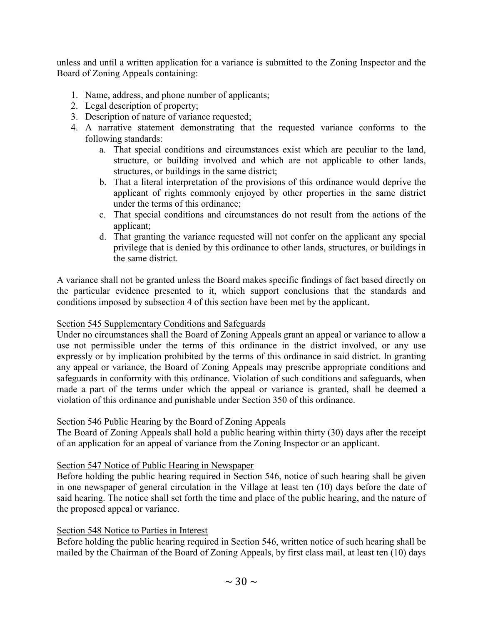unless and until a written application for a variance is submitted to the Zoning Inspector and the Board of Zoning Appeals containing:

- 1. Name, address, and phone number of applicants;
- 2. Legal description of property;
- 3. Description of nature of variance requested;
- 4. A narrative statement demonstrating that the requested variance conforms to the following standards:
	- a. That special conditions and circumstances exist which are peculiar to the land, structure, or building involved and which are not applicable to other lands, structures, or buildings in the same district;
	- b. That a literal interpretation of the provisions of this ordinance would deprive the applicant of rights commonly enjoyed by other properties in the same district under the terms of this ordinance;
	- c. That special conditions and circumstances do not result from the actions of the applicant;
	- d. That granting the variance requested will not confer on the applicant any special privilege that is denied by this ordinance to other lands, structures, or buildings in the same district.

A variance shall not be granted unless the Board makes specific findings of fact based directly on the particular evidence presented to it, which support conclusions that the standards and conditions imposed by subsection 4 of this section have been met by the applicant.

#### Section 545 Supplementary Conditions and Safeguards

Under no circumstances shall the Board of Zoning Appeals grant an appeal or variance to allow a use not permissible under the terms of this ordinance in the district involved, or any use expressly or by implication prohibited by the terms of this ordinance in said district. In granting any appeal or variance, the Board of Zoning Appeals may prescribe appropriate conditions and safeguards in conformity with this ordinance. Violation of such conditions and safeguards, when made a part of the terms under which the appeal or variance is granted, shall be deemed a violation of this ordinance and punishable under Section 350 of this ordinance.

#### Section 546 Public Hearing by the Board of Zoning Appeals

The Board of Zoning Appeals shall hold a public hearing within thirty (30) days after the receipt of an application for an appeal of variance from the Zoning Inspector or an applicant.

#### Section 547 Notice of Public Hearing in Newspaper

Before holding the public hearing required in Section 546, notice of such hearing shall be given in one newspaper of general circulation in the Village at least ten (10) days before the date of said hearing. The notice shall set forth the time and place of the public hearing, and the nature of the proposed appeal or variance.

#### Section 548 Notice to Parties in Interest

Before holding the public hearing required in Section 546, written notice of such hearing shall be mailed by the Chairman of the Board of Zoning Appeals, by first class mail, at least ten (10) days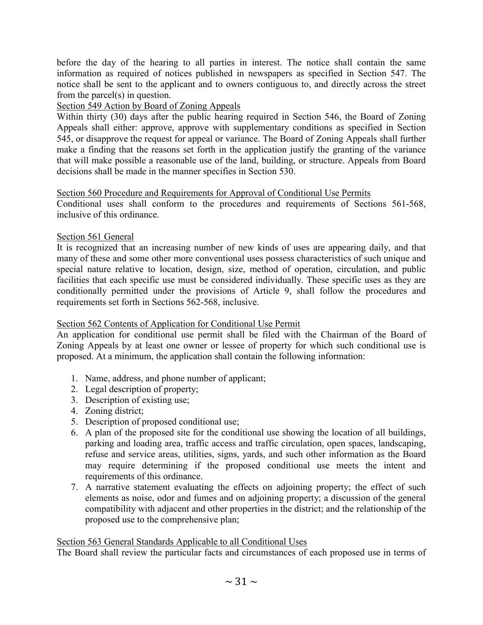before the day of the hearing to all parties in interest. The notice shall contain the same information as required of notices published in newspapers as specified in Section 547. The notice shall be sent to the applicant and to owners contiguous to, and directly across the street from the parcel(s) in question.

# Section 549 Action by Board of Zoning Appeals

Within thirty (30) days after the public hearing required in Section 546, the Board of Zoning Appeals shall either: approve, approve with supplementary conditions as specified in Section 545, or disapprove the request for appeal or variance. The Board of Zoning Appeals shall further make a finding that the reasons set forth in the application justify the granting of the variance that will make possible a reasonable use of the land, building, or structure. Appeals from Board decisions shall be made in the manner specifies in Section 530.

# Section 560 Procedure and Requirements for Approval of Conditional Use Permits

Conditional uses shall conform to the procedures and requirements of Sections 561-568, inclusive of this ordinance.

# Section 561 General

It is recognized that an increasing number of new kinds of uses are appearing daily, and that many of these and some other more conventional uses possess characteristics of such unique and special nature relative to location, design, size, method of operation, circulation, and public facilities that each specific use must be considered individually. These specific uses as they are conditionally permitted under the provisions of Article 9, shall follow the procedures and requirements set forth in Sections 562-568, inclusive.

# Section 562 Contents of Application for Conditional Use Permit

An application for conditional use permit shall be filed with the Chairman of the Board of Zoning Appeals by at least one owner or lessee of property for which such conditional use is proposed. At a minimum, the application shall contain the following information:

- 1. Name, address, and phone number of applicant;
- 2. Legal description of property;
- 3. Description of existing use;
- 4. Zoning district;
- 5. Description of proposed conditional use;
- 6. A plan of the proposed site for the conditional use showing the location of all buildings, parking and loading area, traffic access and traffic circulation, open spaces, landscaping, refuse and service areas, utilities, signs, yards, and such other information as the Board may require determining if the proposed conditional use meets the intent and requirements of this ordinance.
- 7. A narrative statement evaluating the effects on adjoining property; the effect of such elements as noise, odor and fumes and on adjoining property; a discussion of the general compatibility with adjacent and other properties in the district; and the relationship of the proposed use to the comprehensive plan;

#### Section 563 General Standards Applicable to all Conditional Uses

The Board shall review the particular facts and circumstances of each proposed use in terms of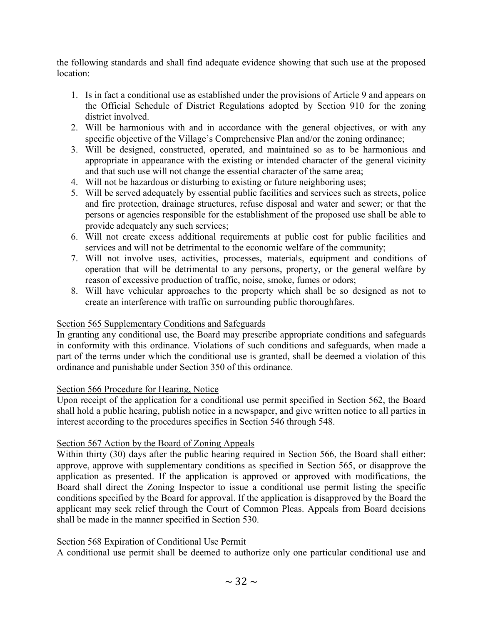the following standards and shall find adequate evidence showing that such use at the proposed location:

- 1. Is in fact a conditional use as established under the provisions of Article 9 and appears on the Official Schedule of District Regulations adopted by Section 910 for the zoning district involved.
- 2. Will be harmonious with and in accordance with the general objectives, or with any specific objective of the Village's Comprehensive Plan and/or the zoning ordinance;
- 3. Will be designed, constructed, operated, and maintained so as to be harmonious and appropriate in appearance with the existing or intended character of the general vicinity and that such use will not change the essential character of the same area;
- 4. Will not be hazardous or disturbing to existing or future neighboring uses;
- 5. Will be served adequately by essential public facilities and services such as streets, police and fire protection, drainage structures, refuse disposal and water and sewer; or that the persons or agencies responsible for the establishment of the proposed use shall be able to provide adequately any such services;
- 6. Will not create excess additional requirements at public cost for public facilities and services and will not be detrimental to the economic welfare of the community;
- 7. Will not involve uses, activities, processes, materials, equipment and conditions of operation that will be detrimental to any persons, property, or the general welfare by reason of excessive production of traffic, noise, smoke, fumes or odors;
- 8. Will have vehicular approaches to the property which shall be so designed as not to create an interference with traffic on surrounding public thoroughfares.

#### Section 565 Supplementary Conditions and Safeguards

In granting any conditional use, the Board may prescribe appropriate conditions and safeguards in conformity with this ordinance. Violations of such conditions and safeguards, when made a part of the terms under which the conditional use is granted, shall be deemed a violation of this ordinance and punishable under Section 350 of this ordinance.

#### Section 566 Procedure for Hearing, Notice

Upon receipt of the application for a conditional use permit specified in Section 562, the Board shall hold a public hearing, publish notice in a newspaper, and give written notice to all parties in interest according to the procedures specifies in Section 546 through 548.

#### Section 567 Action by the Board of Zoning Appeals

Within thirty (30) days after the public hearing required in Section 566, the Board shall either: approve, approve with supplementary conditions as specified in Section 565, or disapprove the application as presented. If the application is approved or approved with modifications, the Board shall direct the Zoning Inspector to issue a conditional use permit listing the specific conditions specified by the Board for approval. If the application is disapproved by the Board the applicant may seek relief through the Court of Common Pleas. Appeals from Board decisions shall be made in the manner specified in Section 530.

#### Section 568 Expiration of Conditional Use Permit

A conditional use permit shall be deemed to authorize only one particular conditional use and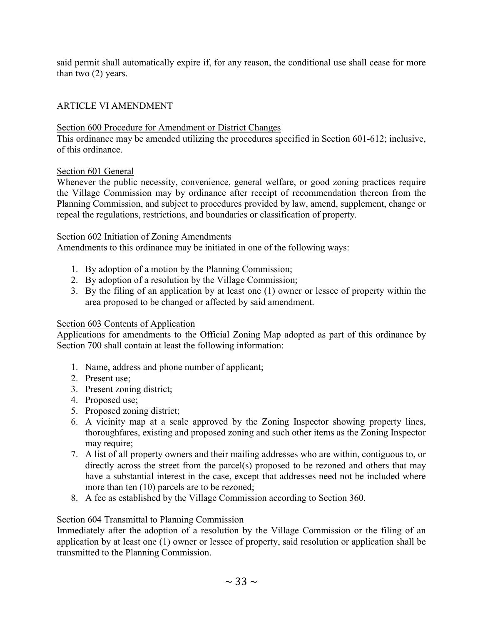said permit shall automatically expire if, for any reason, the conditional use shall cease for more than two (2) years.

# ARTICLE VI AMENDMENT

# Section 600 Procedure for Amendment or District Changes

This ordinance may be amended utilizing the procedures specified in Section 601-612; inclusive, of this ordinance.

# Section 601 General

Whenever the public necessity, convenience, general welfare, or good zoning practices require the Village Commission may by ordinance after receipt of recommendation thereon from the Planning Commission, and subject to procedures provided by law, amend, supplement, change or repeal the regulations, restrictions, and boundaries or classification of property.

#### Section 602 Initiation of Zoning Amendments

Amendments to this ordinance may be initiated in one of the following ways:

- 1. By adoption of a motion by the Planning Commission;
- 2. By adoption of a resolution by the Village Commission;
- 3. By the filing of an application by at least one (1) owner or lessee of property within the area proposed to be changed or affected by said amendment.

# Section 603 Contents of Application

Applications for amendments to the Official Zoning Map adopted as part of this ordinance by Section 700 shall contain at least the following information:

- 1. Name, address and phone number of applicant;
- 2. Present use;
- 3. Present zoning district;
- 4. Proposed use;
- 5. Proposed zoning district;
- 6. A vicinity map at a scale approved by the Zoning Inspector showing property lines, thoroughfares, existing and proposed zoning and such other items as the Zoning Inspector may require;
- 7. A list of all property owners and their mailing addresses who are within, contiguous to, or directly across the street from the parcel(s) proposed to be rezoned and others that may have a substantial interest in the case, except that addresses need not be included where more than ten (10) parcels are to be rezoned;
- 8. A fee as established by the Village Commission according to Section 360.

#### Section 604 Transmittal to Planning Commission

Immediately after the adoption of a resolution by the Village Commission or the filing of an application by at least one (1) owner or lessee of property, said resolution or application shall be transmitted to the Planning Commission.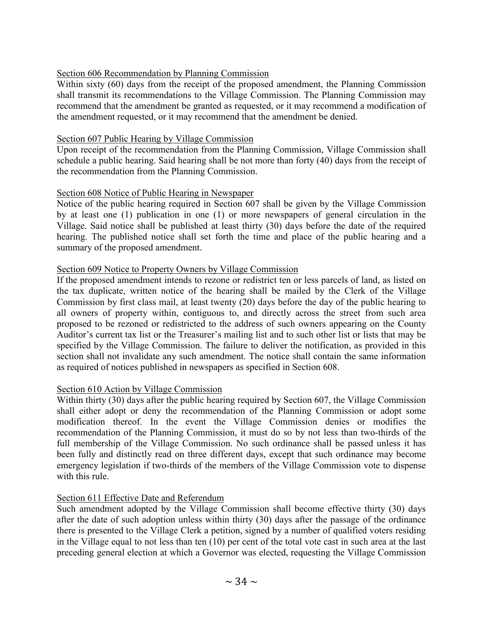# Section 606 Recommendation by Planning Commission

Within sixty (60) days from the receipt of the proposed amendment, the Planning Commission shall transmit its recommendations to the Village Commission. The Planning Commission may recommend that the amendment be granted as requested, or it may recommend a modification of the amendment requested, or it may recommend that the amendment be denied.

#### Section 607 Public Hearing by Village Commission

Upon receipt of the recommendation from the Planning Commission, Village Commission shall schedule a public hearing. Said hearing shall be not more than forty (40) days from the receipt of the recommendation from the Planning Commission.

#### Section 608 Notice of Public Hearing in Newspaper

Notice of the public hearing required in Section 607 shall be given by the Village Commission by at least one (1) publication in one (1) or more newspapers of general circulation in the Village. Said notice shall be published at least thirty (30) days before the date of the required hearing. The published notice shall set forth the time and place of the public hearing and a summary of the proposed amendment.

#### Section 609 Notice to Property Owners by Village Commission

If the proposed amendment intends to rezone or redistrict ten or less parcels of land, as listed on the tax duplicate, written notice of the hearing shall be mailed by the Clerk of the Village Commission by first class mail, at least twenty (20) days before the day of the public hearing to all owners of property within, contiguous to, and directly across the street from such area proposed to be rezoned or redistricted to the address of such owners appearing on the County Auditor's current tax list or the Treasurer's mailing list and to such other list or lists that may be specified by the Village Commission. The failure to deliver the notification, as provided in this section shall not invalidate any such amendment. The notice shall contain the same information as required of notices published in newspapers as specified in Section 608.

#### Section 610 Action by Village Commission

Within thirty (30) days after the public hearing required by Section 607, the Village Commission shall either adopt or deny the recommendation of the Planning Commission or adopt some modification thereof. In the event the Village Commission denies or modifies the recommendation of the Planning Commission, it must do so by not less than two-thirds of the full membership of the Village Commission. No such ordinance shall be passed unless it has been fully and distinctly read on three different days, except that such ordinance may become emergency legislation if two-thirds of the members of the Village Commission vote to dispense with this rule.

#### Section 611 Effective Date and Referendum

Such amendment adopted by the Village Commission shall become effective thirty (30) days after the date of such adoption unless within thirty (30) days after the passage of the ordinance there is presented to the Village Clerk a petition, signed by a number of qualified voters residing in the Village equal to not less than ten (10) per cent of the total vote cast in such area at the last preceding general election at which a Governor was elected, requesting the Village Commission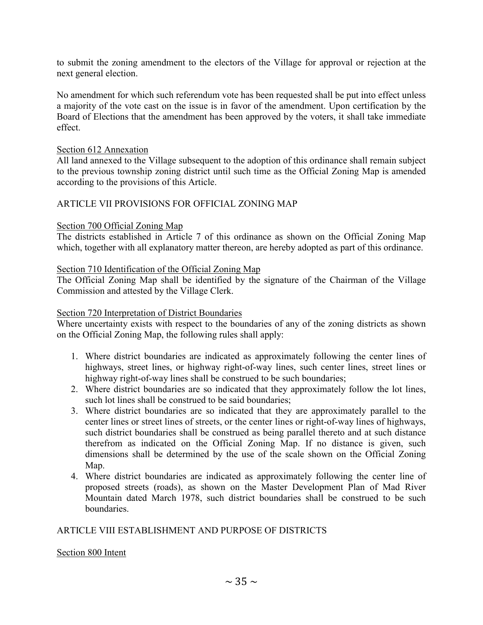to submit the zoning amendment to the electors of the Village for approval or rejection at the next general election.

No amendment for which such referendum vote has been requested shall be put into effect unless a majority of the vote cast on the issue is in favor of the amendment. Upon certification by the Board of Elections that the amendment has been approved by the voters, it shall take immediate effect.

#### Section 612 Annexation

All land annexed to the Village subsequent to the adoption of this ordinance shall remain subject to the previous township zoning district until such time as the Official Zoning Map is amended according to the provisions of this Article.

#### ARTICLE VII PROVISIONS FOR OFFICIAL ZONING MAP

#### Section 700 Official Zoning Map

The districts established in Article 7 of this ordinance as shown on the Official Zoning Map which, together with all explanatory matter thereon, are hereby adopted as part of this ordinance.

#### Section 710 Identification of the Official Zoning Map

The Official Zoning Map shall be identified by the signature of the Chairman of the Village Commission and attested by the Village Clerk.

#### Section 720 Interpretation of District Boundaries

Where uncertainty exists with respect to the boundaries of any of the zoning districts as shown on the Official Zoning Map, the following rules shall apply:

- 1. Where district boundaries are indicated as approximately following the center lines of highways, street lines, or highway right-of-way lines, such center lines, street lines or highway right-of-way lines shall be construed to be such boundaries;
- 2. Where district boundaries are so indicated that they approximately follow the lot lines, such lot lines shall be construed to be said boundaries;
- 3. Where district boundaries are so indicated that they are approximately parallel to the center lines or street lines of streets, or the center lines or right-of-way lines of highways, such district boundaries shall be construed as being parallel thereto and at such distance therefrom as indicated on the Official Zoning Map. If no distance is given, such dimensions shall be determined by the use of the scale shown on the Official Zoning Map.
- 4. Where district boundaries are indicated as approximately following the center line of proposed streets (roads), as shown on the Master Development Plan of Mad River Mountain dated March 1978, such district boundaries shall be construed to be such boundaries.

#### ARTICLE VIII ESTABLISHMENT AND PURPOSE OF DISTRICTS

#### Section 800 Intent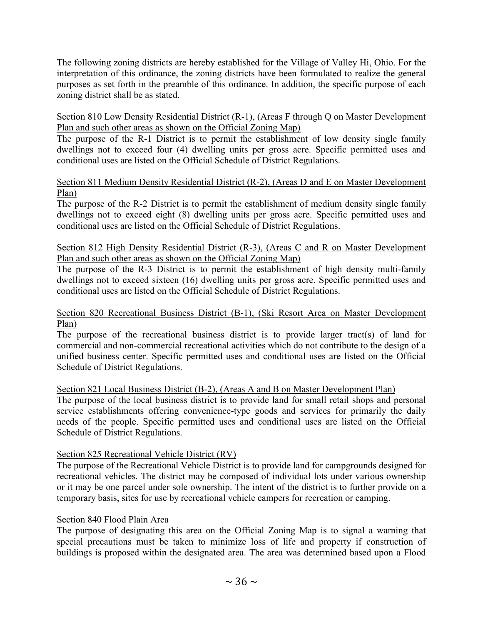The following zoning districts are hereby established for the Village of Valley Hi, Ohio. For the interpretation of this ordinance, the zoning districts have been formulated to realize the general purposes as set forth in the preamble of this ordinance. In addition, the specific purpose of each zoning district shall be as stated.

Section 810 Low Density Residential District (R-1), (Areas F through Q on Master Development Plan and such other areas as shown on the Official Zoning Map)

The purpose of the R-1 District is to permit the establishment of low density single family dwellings not to exceed four (4) dwelling units per gross acre. Specific permitted uses and conditional uses are listed on the Official Schedule of District Regulations.

#### Section 811 Medium Density Residential District (R-2), (Areas D and E on Master Development Plan)

The purpose of the R-2 District is to permit the establishment of medium density single family dwellings not to exceed eight (8) dwelling units per gross acre. Specific permitted uses and conditional uses are listed on the Official Schedule of District Regulations.

# Section 812 High Density Residential District (R-3), (Areas C and R on Master Development Plan and such other areas as shown on the Official Zoning Map)

The purpose of the R-3 District is to permit the establishment of high density multi-family dwellings not to exceed sixteen (16) dwelling units per gross acre. Specific permitted uses and conditional uses are listed on the Official Schedule of District Regulations.

#### Section 820 Recreational Business District (B-1), (Ski Resort Area on Master Development Plan)

The purpose of the recreational business district is to provide larger tract(s) of land for commercial and non-commercial recreational activities which do not contribute to the design of a unified business center. Specific permitted uses and conditional uses are listed on the Official Schedule of District Regulations.

# Section 821 Local Business District (B-2), (Areas A and B on Master Development Plan)

The purpose of the local business district is to provide land for small retail shops and personal service establishments offering convenience-type goods and services for primarily the daily needs of the people. Specific permitted uses and conditional uses are listed on the Official Schedule of District Regulations.

#### Section 825 Recreational Vehicle District (RV)

The purpose of the Recreational Vehicle District is to provide land for campgrounds designed for recreational vehicles. The district may be composed of individual lots under various ownership or it may be one parcel under sole ownership. The intent of the district is to further provide on a temporary basis, sites for use by recreational vehicle campers for recreation or camping.

#### Section 840 Flood Plain Area

The purpose of designating this area on the Official Zoning Map is to signal a warning that special precautions must be taken to minimize loss of life and property if construction of buildings is proposed within the designated area. The area was determined based upon a Flood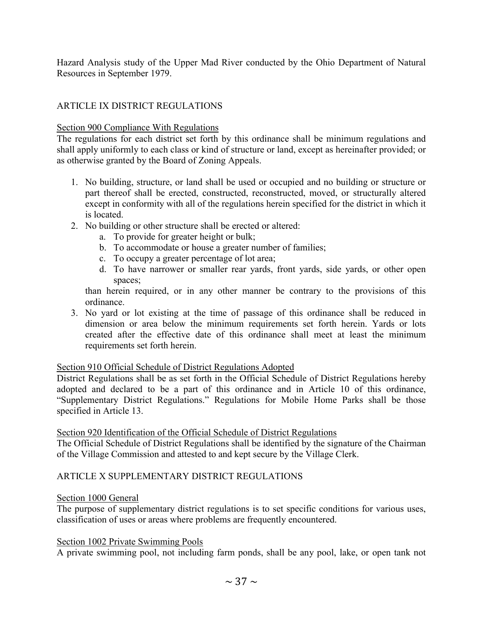Hazard Analysis study of the Upper Mad River conducted by the Ohio Department of Natural Resources in September 1979.

#### ARTICLE IX DISTRICT REGULATIONS

#### Section 900 Compliance With Regulations

The regulations for each district set forth by this ordinance shall be minimum regulations and shall apply uniformly to each class or kind of structure or land, except as hereinafter provided; or as otherwise granted by the Board of Zoning Appeals.

- 1. No building, structure, or land shall be used or occupied and no building or structure or part thereof shall be erected, constructed, reconstructed, moved, or structurally altered except in conformity with all of the regulations herein specified for the district in which it is located.
- 2. No building or other structure shall be erected or altered:
	- a. To provide for greater height or bulk;
	- b. To accommodate or house a greater number of families;
	- c. To occupy a greater percentage of lot area;
	- d. To have narrower or smaller rear yards, front yards, side yards, or other open spaces;

than herein required, or in any other manner be contrary to the provisions of this ordinance.

3. No yard or lot existing at the time of passage of this ordinance shall be reduced in dimension or area below the minimum requirements set forth herein. Yards or lots created after the effective date of this ordinance shall meet at least the minimum requirements set forth herein.

#### Section 910 Official Schedule of District Regulations Adopted

District Regulations shall be as set forth in the Official Schedule of District Regulations hereby adopted and declared to be a part of this ordinance and in Article 10 of this ordinance, "Supplementary District Regulations." Regulations for Mobile Home Parks shall be those specified in Article 13.

#### Section 920 Identification of the Official Schedule of District Regulations

The Official Schedule of District Regulations shall be identified by the signature of the Chairman of the Village Commission and attested to and kept secure by the Village Clerk.

#### ARTICLE X SUPPLEMENTARY DISTRICT REGULATIONS

#### Section 1000 General

The purpose of supplementary district regulations is to set specific conditions for various uses, classification of uses or areas where problems are frequently encountered.

#### Section 1002 Private Swimming Pools

A private swimming pool, not including farm ponds, shall be any pool, lake, or open tank not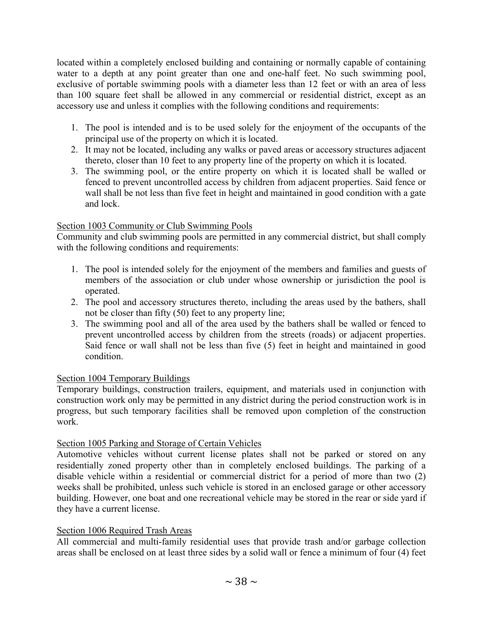located within a completely enclosed building and containing or normally capable of containing water to a depth at any point greater than one and one-half feet. No such swimming pool, exclusive of portable swimming pools with a diameter less than 12 feet or with an area of less than 100 square feet shall be allowed in any commercial or residential district, except as an accessory use and unless it complies with the following conditions and requirements:

- 1. The pool is intended and is to be used solely for the enjoyment of the occupants of the principal use of the property on which it is located.
- 2. It may not be located, including any walks or paved areas or accessory structures adjacent thereto, closer than 10 feet to any property line of the property on which it is located.
- 3. The swimming pool, or the entire property on which it is located shall be walled or fenced to prevent uncontrolled access by children from adjacent properties. Said fence or wall shall be not less than five feet in height and maintained in good condition with a gate and lock.

# Section 1003 Community or Club Swimming Pools

Community and club swimming pools are permitted in any commercial district, but shall comply with the following conditions and requirements:

- 1. The pool is intended solely for the enjoyment of the members and families and guests of members of the association or club under whose ownership or jurisdiction the pool is operated.
- 2. The pool and accessory structures thereto, including the areas used by the bathers, shall not be closer than fifty (50) feet to any property line;
- 3. The swimming pool and all of the area used by the bathers shall be walled or fenced to prevent uncontrolled access by children from the streets (roads) or adjacent properties. Said fence or wall shall not be less than five (5) feet in height and maintained in good condition.

#### Section 1004 Temporary Buildings

Temporary buildings, construction trailers, equipment, and materials used in conjunction with construction work only may be permitted in any district during the period construction work is in progress, but such temporary facilities shall be removed upon completion of the construction work.

#### Section 1005 Parking and Storage of Certain Vehicles

Automotive vehicles without current license plates shall not be parked or stored on any residentially zoned property other than in completely enclosed buildings. The parking of a disable vehicle within a residential or commercial district for a period of more than two (2) weeks shall be prohibited, unless such vehicle is stored in an enclosed garage or other accessory building. However, one boat and one recreational vehicle may be stored in the rear or side yard if they have a current license.

#### Section 1006 Required Trash Areas

All commercial and multi-family residential uses that provide trash and/or garbage collection areas shall be enclosed on at least three sides by a solid wall or fence a minimum of four (4) feet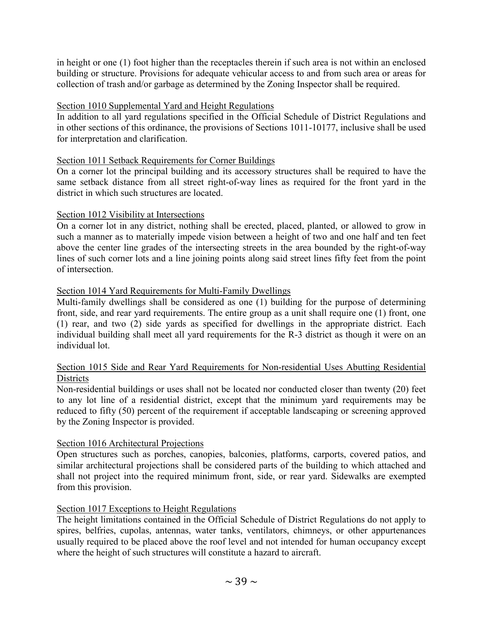in height or one (1) foot higher than the receptacles therein if such area is not within an enclosed building or structure. Provisions for adequate vehicular access to and from such area or areas for collection of trash and/or garbage as determined by the Zoning Inspector shall be required.

#### Section 1010 Supplemental Yard and Height Regulations

In addition to all yard regulations specified in the Official Schedule of District Regulations and in other sections of this ordinance, the provisions of Sections 1011-10177, inclusive shall be used for interpretation and clarification.

# Section 1011 Setback Requirements for Corner Buildings

On a corner lot the principal building and its accessory structures shall be required to have the same setback distance from all street right-of-way lines as required for the front yard in the district in which such structures are located.

# Section 1012 Visibility at Intersections

On a corner lot in any district, nothing shall be erected, placed, planted, or allowed to grow in such a manner as to materially impede vision between a height of two and one half and ten feet above the center line grades of the intersecting streets in the area bounded by the right-of-way lines of such corner lots and a line joining points along said street lines fifty feet from the point of intersection.

# Section 1014 Yard Requirements for Multi-Family Dwellings

Multi-family dwellings shall be considered as one (1) building for the purpose of determining front, side, and rear yard requirements. The entire group as a unit shall require one (1) front, one (1) rear, and two (2) side yards as specified for dwellings in the appropriate district. Each individual building shall meet all yard requirements for the R-3 district as though it were on an individual lot.

# Section 1015 Side and Rear Yard Requirements for Non-residential Uses Abutting Residential Districts

Non-residential buildings or uses shall not be located nor conducted closer than twenty (20) feet to any lot line of a residential district, except that the minimum yard requirements may be reduced to fifty (50) percent of the requirement if acceptable landscaping or screening approved by the Zoning Inspector is provided.

#### Section 1016 Architectural Projections

Open structures such as porches, canopies, balconies, platforms, carports, covered patios, and similar architectural projections shall be considered parts of the building to which attached and shall not project into the required minimum front, side, or rear yard. Sidewalks are exempted from this provision.

# Section 1017 Exceptions to Height Regulations

The height limitations contained in the Official Schedule of District Regulations do not apply to spires, belfries, cupolas, antennas, water tanks, ventilators, chimneys, or other appurtenances usually required to be placed above the roof level and not intended for human occupancy except where the height of such structures will constitute a hazard to aircraft.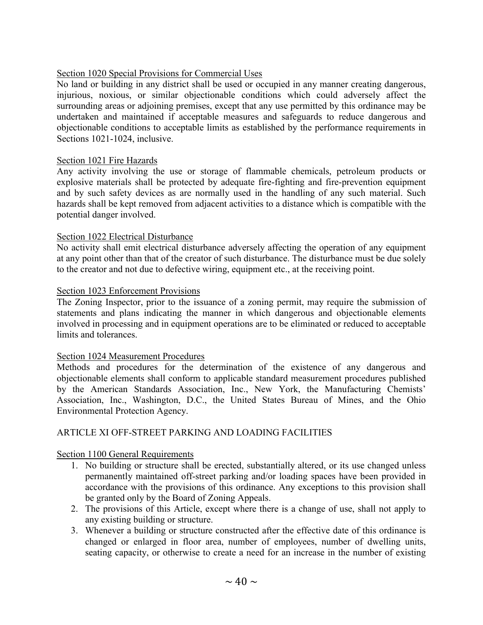#### Section 1020 Special Provisions for Commercial Uses

No land or building in any district shall be used or occupied in any manner creating dangerous, injurious, noxious, or similar objectionable conditions which could adversely affect the surrounding areas or adjoining premises, except that any use permitted by this ordinance may be undertaken and maintained if acceptable measures and safeguards to reduce dangerous and objectionable conditions to acceptable limits as established by the performance requirements in Sections 1021-1024, inclusive.

#### Section 1021 Fire Hazards

Any activity involving the use or storage of flammable chemicals, petroleum products or explosive materials shall be protected by adequate fire-fighting and fire-prevention equipment and by such safety devices as are normally used in the handling of any such material. Such hazards shall be kept removed from adjacent activities to a distance which is compatible with the potential danger involved.

#### Section 1022 Electrical Disturbance

No activity shall emit electrical disturbance adversely affecting the operation of any equipment at any point other than that of the creator of such disturbance. The disturbance must be due solely to the creator and not due to defective wiring, equipment etc., at the receiving point.

#### Section 1023 Enforcement Provisions

The Zoning Inspector, prior to the issuance of a zoning permit, may require the submission of statements and plans indicating the manner in which dangerous and objectionable elements involved in processing and in equipment operations are to be eliminated or reduced to acceptable limits and tolerances.

#### Section 1024 Measurement Procedures

Methods and procedures for the determination of the existence of any dangerous and objectionable elements shall conform to applicable standard measurement procedures published by the American Standards Association, Inc., New York, the Manufacturing Chemists' Association, Inc., Washington, D.C., the United States Bureau of Mines, and the Ohio Environmental Protection Agency.

#### ARTICLE XI OFF-STREET PARKING AND LOADING FACILITIES

#### Section 1100 General Requirements

- 1. No building or structure shall be erected, substantially altered, or its use changed unless permanently maintained off-street parking and/or loading spaces have been provided in accordance with the provisions of this ordinance. Any exceptions to this provision shall be granted only by the Board of Zoning Appeals.
- 2. The provisions of this Article, except where there is a change of use, shall not apply to any existing building or structure.
- 3. Whenever a building or structure constructed after the effective date of this ordinance is changed or enlarged in floor area, number of employees, number of dwelling units, seating capacity, or otherwise to create a need for an increase in the number of existing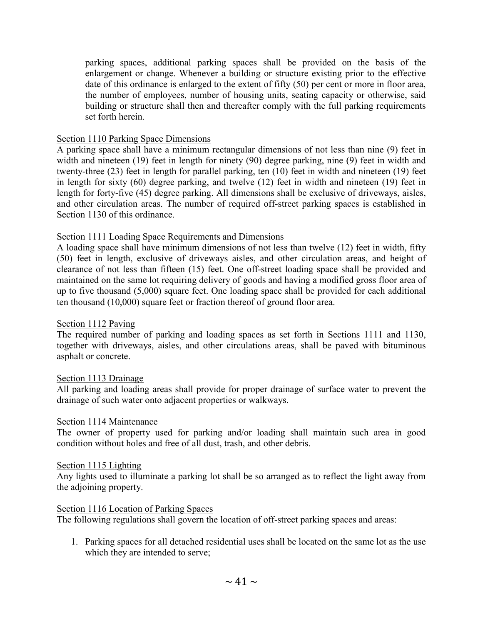parking spaces, additional parking spaces shall be provided on the basis of the enlargement or change. Whenever a building or structure existing prior to the effective date of this ordinance is enlarged to the extent of fifty (50) per cent or more in floor area, the number of employees, number of housing units, seating capacity or otherwise, said building or structure shall then and thereafter comply with the full parking requirements set forth herein.

#### Section 1110 Parking Space Dimensions

A parking space shall have a minimum rectangular dimensions of not less than nine (9) feet in width and nineteen (19) feet in length for ninety (90) degree parking, nine (9) feet in width and twenty-three (23) feet in length for parallel parking, ten (10) feet in width and nineteen (19) feet in length for sixty (60) degree parking, and twelve (12) feet in width and nineteen (19) feet in length for forty-five (45) degree parking. All dimensions shall be exclusive of driveways, aisles, and other circulation areas. The number of required off-street parking spaces is established in Section 1130 of this ordinance.

# Section 1111 Loading Space Requirements and Dimensions

A loading space shall have minimum dimensions of not less than twelve (12) feet in width, fifty (50) feet in length, exclusive of driveways aisles, and other circulation areas, and height of clearance of not less than fifteen (15) feet. One off-street loading space shall be provided and maintained on the same lot requiring delivery of goods and having a modified gross floor area of up to five thousand (5,000) square feet. One loading space shall be provided for each additional ten thousand (10,000) square feet or fraction thereof of ground floor area.

#### Section 1112 Paving

The required number of parking and loading spaces as set forth in Sections 1111 and 1130, together with driveways, aisles, and other circulations areas, shall be paved with bituminous asphalt or concrete.

#### Section 1113 Drainage

All parking and loading areas shall provide for proper drainage of surface water to prevent the drainage of such water onto adjacent properties or walkways.

#### Section 1114 Maintenance

The owner of property used for parking and/or loading shall maintain such area in good condition without holes and free of all dust, trash, and other debris.

#### Section 1115 Lighting

Any lights used to illuminate a parking lot shall be so arranged as to reflect the light away from the adjoining property.

#### Section 1116 Location of Parking Spaces

The following regulations shall govern the location of off-street parking spaces and areas:

1. Parking spaces for all detached residential uses shall be located on the same lot as the use which they are intended to serve;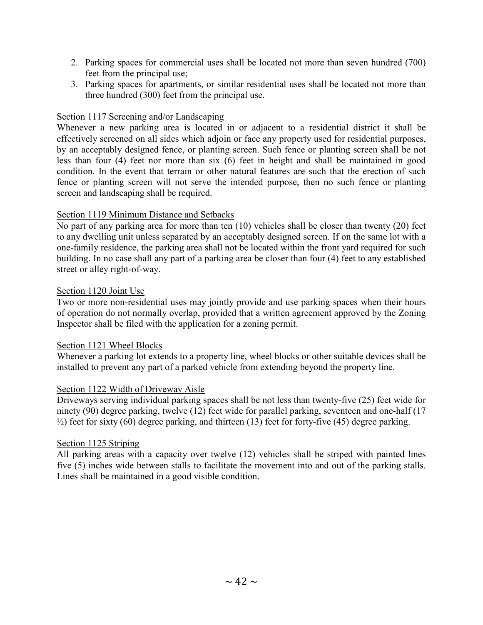- 2. Parking spaces for commercial uses shall be located not more than seven hundred (700) feet from the principal use;
- 3. Parking spaces for apartments, or similar residential uses shall be located not more than three hundred (300) feet from the principal use.

#### Section 1117 Screening and/or Landscaping

Whenever a new parking area is located in or adjacent to a residential district it shall be effectively screened on all sides which adjoin or face any property used for residential purposes, by an acceptably designed fence, or planting screen. Such fence or planting screen shall be not less than four (4) feet nor more than six (6) feet in height and shall be maintained in good condition. In the event that terrain or other natural features are such that the erection of such fence or planting screen will not serve the intended purpose, then no such fence or planting screen and landscaping shall be required.

# Section 1119 Minimum Distance and Setbacks

No part of any parking area for more than ten (10) vehicles shall be closer than twenty (20) feet to any dwelling unit unless separated by an acceptably designed screen. If on the same lot with a one-family residence, the parking area shall not be located within the front yard required for such building. In no case shall any part of a parking area be closer than four (4) feet to any established street or alley right-of-way.

#### Section 1120 Joint Use

Two or more non-residential uses may jointly provide and use parking spaces when their hours of operation do not normally overlap, provided that a written agreement approved by the Zoning Inspector shall be filed with the application for a zoning permit.

#### Section 1121 Wheel Blocks

Whenever a parking lot extends to a property line, wheel blocks or other suitable devices shall be installed to prevent any part of a parked vehicle from extending beyond the property line.

#### Section 1122 Width of Driveway Aisle

Driveways serving individual parking spaces shall be not less than twenty-five (25) feet wide for ninety (90) degree parking, twelve (12) feet wide for parallel parking, seventeen and one-half (17  $\frac{1}{2}$ ) feet for sixty (60) degree parking, and thirteen (13) feet for forty-five (45) degree parking.

#### Section 1125 Striping

All parking areas with a capacity over twelve (12) vehicles shall be striped with painted lines five (5) inches wide between stalls to facilitate the movement into and out of the parking stalls. Lines shall be maintained in a good visible condition.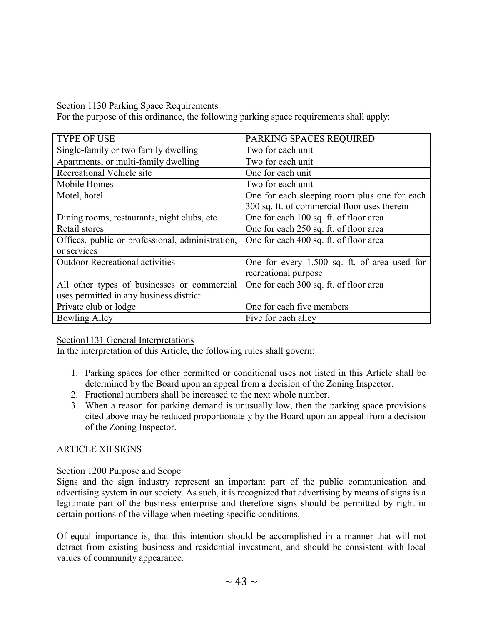Section 1130 Parking Space Requirements

For the purpose of this ordinance, the following parking space requirements shall apply:

| <b>TYPE OF USE</b>                               | PARKING SPACES REQUIRED                      |
|--------------------------------------------------|----------------------------------------------|
| Single-family or two family dwelling             | Two for each unit                            |
| Apartments, or multi-family dwelling             | Two for each unit                            |
| Recreational Vehicle site                        | One for each unit                            |
| Mobile Homes                                     | Two for each unit                            |
| Motel, hotel                                     | One for each sleeping room plus one for each |
|                                                  | 300 sq. ft. of commercial floor uses therein |
| Dining rooms, restaurants, night clubs, etc.     | One for each 100 sq. ft. of floor area       |
| Retail stores                                    | One for each 250 sq. ft. of floor area       |
| Offices, public or professional, administration, | One for each 400 sq. ft. of floor area       |
| or services                                      |                                              |
| <b>Outdoor Recreational activities</b>           | One for every 1,500 sq. ft. of area used for |
|                                                  | recreational purpose                         |
| All other types of businesses or commercial      | One for each 300 sq. ft. of floor area       |
| uses permitted in any business district          |                                              |
| Private club or lodge                            | One for each five members                    |
| <b>Bowling Alley</b>                             | Five for each alley                          |

# Section1131 General Interpretations

In the interpretation of this Article, the following rules shall govern:

- 1. Parking spaces for other permitted or conditional uses not listed in this Article shall be determined by the Board upon an appeal from a decision of the Zoning Inspector.
- 2. Fractional numbers shall be increased to the next whole number.
- 3. When a reason for parking demand is unusually low, then the parking space provisions cited above may be reduced proportionately by the Board upon an appeal from a decision of the Zoning Inspector.

# ARTICLE XII SIGNS

# Section 1200 Purpose and Scope

Signs and the sign industry represent an important part of the public communication and advertising system in our society. As such, it is recognized that advertising by means of signs is a legitimate part of the business enterprise and therefore signs should be permitted by right in certain portions of the village when meeting specific conditions.

Of equal importance is, that this intention should be accomplished in a manner that will not detract from existing business and residential investment, and should be consistent with local values of community appearance.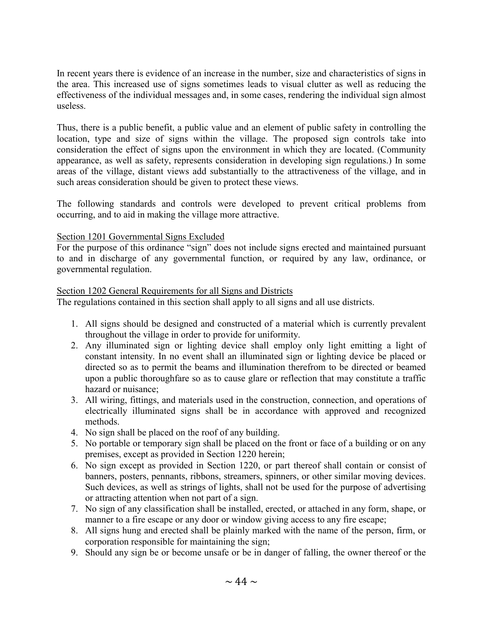In recent years there is evidence of an increase in the number, size and characteristics of signs in the area. This increased use of signs sometimes leads to visual clutter as well as reducing the effectiveness of the individual messages and, in some cases, rendering the individual sign almost useless.

Thus, there is a public benefit, a public value and an element of public safety in controlling the location, type and size of signs within the village. The proposed sign controls take into consideration the effect of signs upon the environment in which they are located. (Community appearance, as well as safety, represents consideration in developing sign regulations.) In some areas of the village, distant views add substantially to the attractiveness of the village, and in such areas consideration should be given to protect these views.

The following standards and controls were developed to prevent critical problems from occurring, and to aid in making the village more attractive.

#### Section 1201 Governmental Signs Excluded

For the purpose of this ordinance "sign" does not include signs erected and maintained pursuant to and in discharge of any governmental function, or required by any law, ordinance, or governmental regulation.

#### Section 1202 General Requirements for all Signs and Districts

The regulations contained in this section shall apply to all signs and all use districts.

- 1. All signs should be designed and constructed of a material which is currently prevalent throughout the village in order to provide for uniformity.
- 2. Any illuminated sign or lighting device shall employ only light emitting a light of constant intensity. In no event shall an illuminated sign or lighting device be placed or directed so as to permit the beams and illumination therefrom to be directed or beamed upon a public thoroughfare so as to cause glare or reflection that may constitute a traffic hazard or nuisance;
- 3. All wiring, fittings, and materials used in the construction, connection, and operations of electrically illuminated signs shall be in accordance with approved and recognized methods.
- 4. No sign shall be placed on the roof of any building.
- 5. No portable or temporary sign shall be placed on the front or face of a building or on any premises, except as provided in Section 1220 herein;
- 6. No sign except as provided in Section 1220, or part thereof shall contain or consist of banners, posters, pennants, ribbons, streamers, spinners, or other similar moving devices. Such devices, as well as strings of lights, shall not be used for the purpose of advertising or attracting attention when not part of a sign.
- 7. No sign of any classification shall be installed, erected, or attached in any form, shape, or manner to a fire escape or any door or window giving access to any fire escape;
- 8. All signs hung and erected shall be plainly marked with the name of the person, firm, or corporation responsible for maintaining the sign;
- 9. Should any sign be or become unsafe or be in danger of falling, the owner thereof or the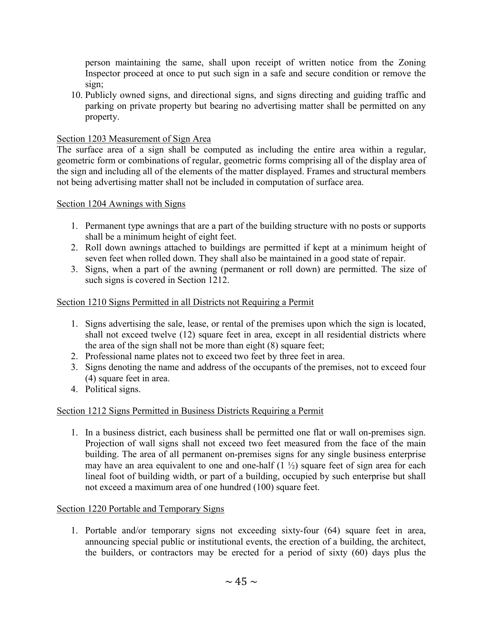person maintaining the same, shall upon receipt of written notice from the Zoning Inspector proceed at once to put such sign in a safe and secure condition or remove the sign;

10. Publicly owned signs, and directional signs, and signs directing and guiding traffic and parking on private property but bearing no advertising matter shall be permitted on any property.

# Section 1203 Measurement of Sign Area

The surface area of a sign shall be computed as including the entire area within a regular, geometric form or combinations of regular, geometric forms comprising all of the display area of the sign and including all of the elements of the matter displayed. Frames and structural members not being advertising matter shall not be included in computation of surface area.

#### Section 1204 Awnings with Signs

- 1. Permanent type awnings that are a part of the building structure with no posts or supports shall be a minimum height of eight feet.
- 2. Roll down awnings attached to buildings are permitted if kept at a minimum height of seven feet when rolled down. They shall also be maintained in a good state of repair.
- 3. Signs, when a part of the awning (permanent or roll down) are permitted. The size of such signs is covered in Section 1212.

# Section 1210 Signs Permitted in all Districts not Requiring a Permit

- 1. Signs advertising the sale, lease, or rental of the premises upon which the sign is located, shall not exceed twelve (12) square feet in area, except in all residential districts where the area of the sign shall not be more than eight (8) square feet;
- 2. Professional name plates not to exceed two feet by three feet in area.
- 3. Signs denoting the name and address of the occupants of the premises, not to exceed four (4) square feet in area.
- 4. Political signs.

# Section 1212 Signs Permitted in Business Districts Requiring a Permit

1. In a business district, each business shall be permitted one flat or wall on-premises sign. Projection of wall signs shall not exceed two feet measured from the face of the main building. The area of all permanent on-premises signs for any single business enterprise may have an area equivalent to one and one-half  $(1 \frac{1}{2})$  square feet of sign area for each lineal foot of building width, or part of a building, occupied by such enterprise but shall not exceed a maximum area of one hundred (100) square feet.

# Section 1220 Portable and Temporary Signs

1. Portable and/or temporary signs not exceeding sixty-four (64) square feet in area, announcing special public or institutional events, the erection of a building, the architect, the builders, or contractors may be erected for a period of sixty (60) days plus the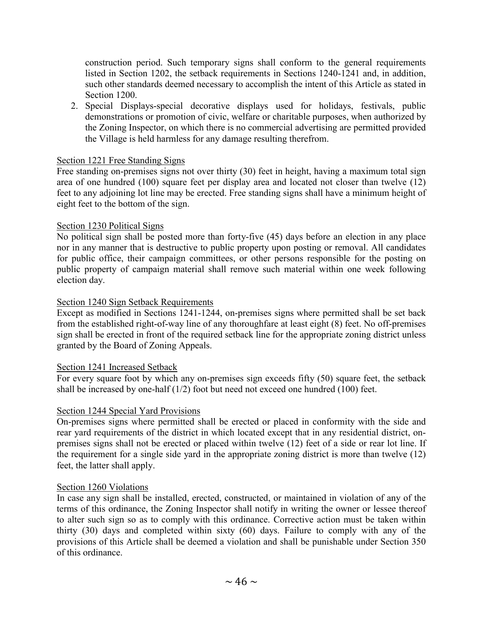construction period. Such temporary signs shall conform to the general requirements listed in Section 1202, the setback requirements in Sections 1240-1241 and, in addition, such other standards deemed necessary to accomplish the intent of this Article as stated in Section 1200.

2. Special Displays-special decorative displays used for holidays, festivals, public demonstrations or promotion of civic, welfare or charitable purposes, when authorized by the Zoning Inspector, on which there is no commercial advertising are permitted provided the Village is held harmless for any damage resulting therefrom.

#### Section 1221 Free Standing Signs

Free standing on-premises signs not over thirty (30) feet in height, having a maximum total sign area of one hundred (100) square feet per display area and located not closer than twelve (12) feet to any adjoining lot line may be erected. Free standing signs shall have a minimum height of eight feet to the bottom of the sign.

#### Section 1230 Political Signs

No political sign shall be posted more than forty-five (45) days before an election in any place nor in any manner that is destructive to public property upon posting or removal. All candidates for public office, their campaign committees, or other persons responsible for the posting on public property of campaign material shall remove such material within one week following election day.

#### Section 1240 Sign Setback Requirements

Except as modified in Sections 1241-1244, on-premises signs where permitted shall be set back from the established right-of-way line of any thoroughfare at least eight (8) feet. No off-premises sign shall be erected in front of the required setback line for the appropriate zoning district unless granted by the Board of Zoning Appeals.

#### Section 1241 Increased Setback

For every square foot by which any on-premises sign exceeds fifty (50) square feet, the setback shall be increased by one-half (1/2) foot but need not exceed one hundred (100) feet.

#### Section 1244 Special Yard Provisions

On-premises signs where permitted shall be erected or placed in conformity with the side and rear yard requirements of the district in which located except that in any residential district, onpremises signs shall not be erected or placed within twelve (12) feet of a side or rear lot line. If the requirement for a single side yard in the appropriate zoning district is more than twelve (12) feet, the latter shall apply.

#### Section 1260 Violations

In case any sign shall be installed, erected, constructed, or maintained in violation of any of the terms of this ordinance, the Zoning Inspector shall notify in writing the owner or lessee thereof to alter such sign so as to comply with this ordinance. Corrective action must be taken within thirty (30) days and completed within sixty (60) days. Failure to comply with any of the provisions of this Article shall be deemed a violation and shall be punishable under Section 350 of this ordinance.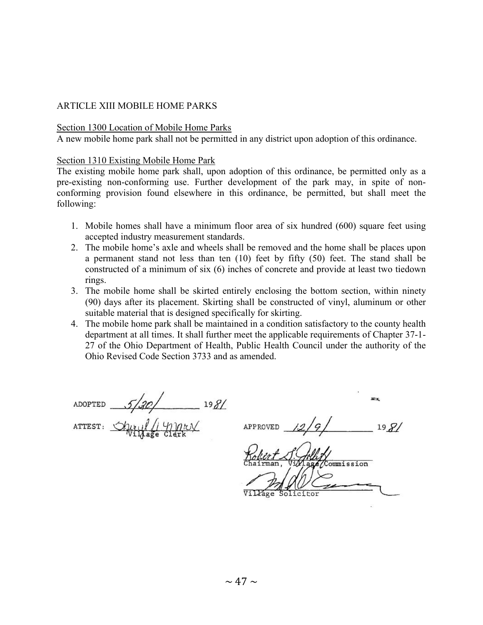#### ARTICLE XIII MOBILE HOME PARKS

#### Section 1300 Location of Mobile Home Parks

A new mobile home park shall not be permitted in any district upon adoption of this ordinance.

#### Section 1310 Existing Mobile Home Park

The existing mobile home park shall, upon adoption of this ordinance, be permitted only as a pre-existing non-conforming use. Further development of the park may, in spite of nonconforming provision found elsewhere in this ordinance, be permitted, but shall meet the following:

- 1. Mobile homes shall have a minimum floor area of six hundred (600) square feet using accepted industry measurement standards.
- 2. The mobile home's axle and wheels shall be removed and the home shall be places upon a permanent stand not less than ten (10) feet by fifty (50) feet. The stand shall be constructed of a minimum of six (6) inches of concrete and provide at least two tiedown rings.
- 3. The mobile home shall be skirted entirely enclosing the bottom section, within ninety (90) days after its placement. Skirting shall be constructed of vinyl, aluminum or other suitable material that is designed specifically for skirting.
- 4. The mobile home park shall be maintained in a condition satisfactory to the county health department at all times. It shall further meet the applicable requirements of Chapter 37-1- 27 of the Ohio Department of Health, Public Health Council under the authority of the Ohio Revised Code Section 3733 and as amended.

 $5/20/$  198/ ADOPTED

amary ATTEST:

 $198/$ APPROVED

mmission Village Heitor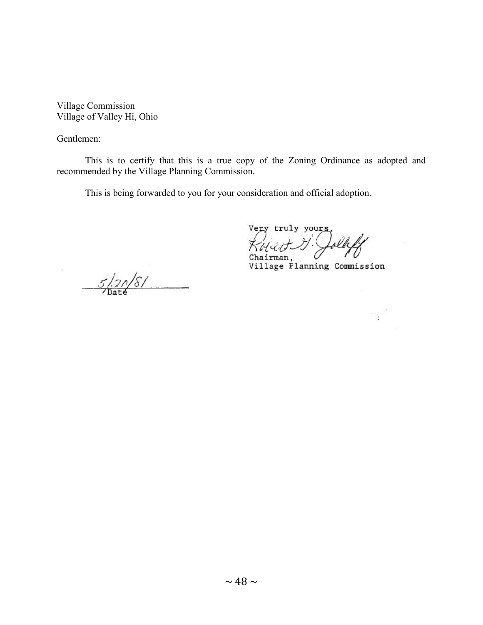Village Commission Village of Valley Hi, Ohio

Gentlemen:

ģ.

This is to certify that this is a true copy of the Zoning Ordinance as adopted and recommended by the Village Planning Commission.

This is being forwarded to you for your consideration and official adoption.

very truly yours, Chairman,

Village Planning Commission

 $\frac{1}{2}$  ,  $\frac{3}{2}$ 

 $5/20/8/$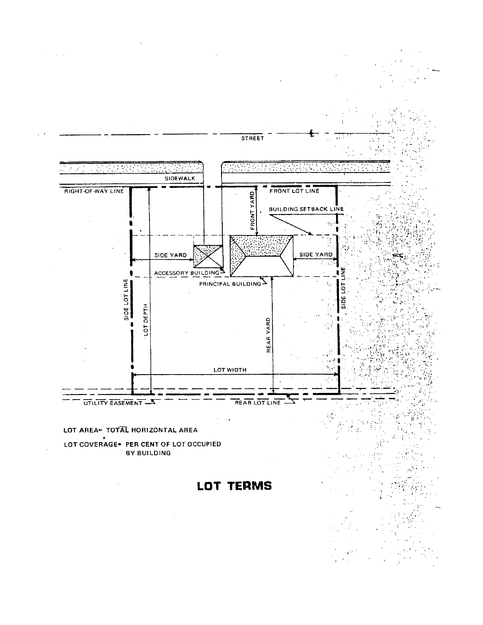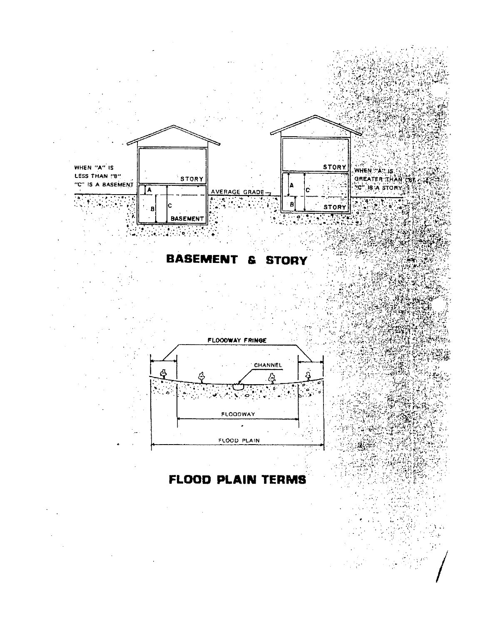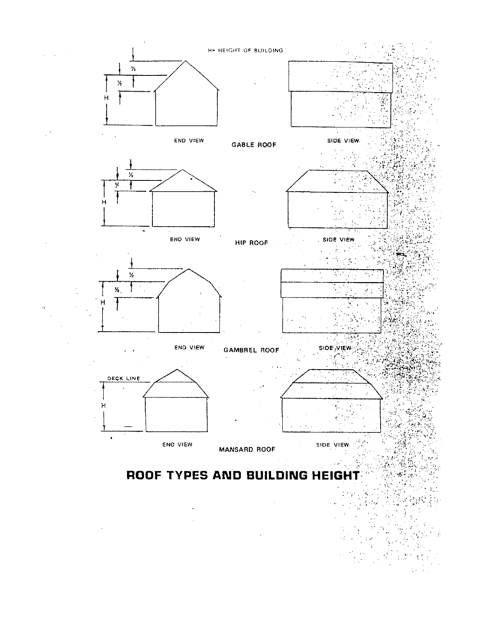

÷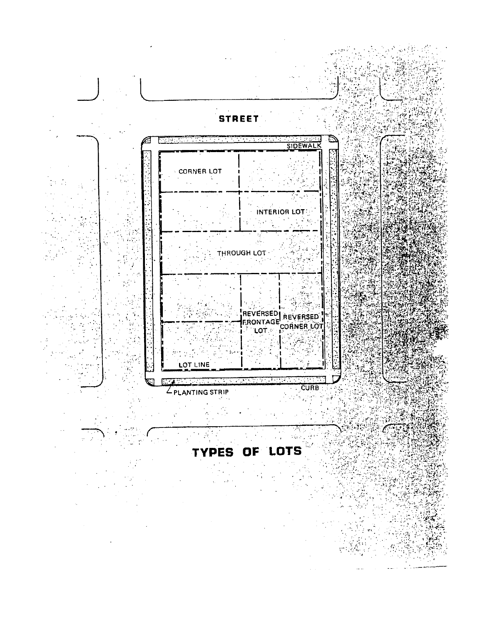

# TYPES OF LOTS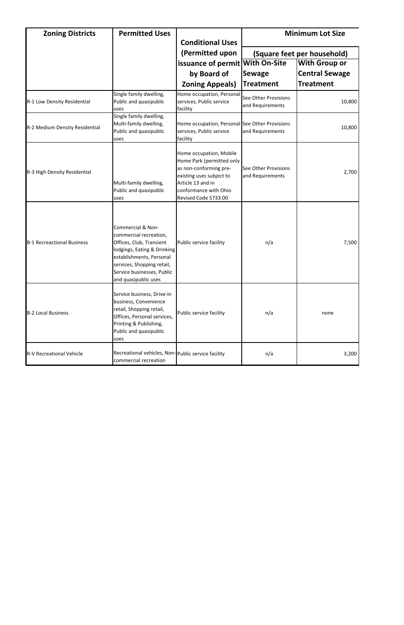| <b>Zoning Districts</b>           | <b>Permitted Uses</b>                                                                                                                                                                                                  | <b>Conditional Uses</b>                                                                                                                                                          | <b>Minimum Lot Size</b>                  |                             |
|-----------------------------------|------------------------------------------------------------------------------------------------------------------------------------------------------------------------------------------------------------------------|----------------------------------------------------------------------------------------------------------------------------------------------------------------------------------|------------------------------------------|-----------------------------|
|                                   |                                                                                                                                                                                                                        | (Permitted upon                                                                                                                                                                  |                                          | (Square feet per household) |
|                                   |                                                                                                                                                                                                                        | issuance of permit With On-Site                                                                                                                                                  |                                          | <b>With Group or</b>        |
|                                   |                                                                                                                                                                                                                        | by Board of                                                                                                                                                                      | <b>Sewage</b>                            | <b>Central Sewage</b>       |
|                                   |                                                                                                                                                                                                                        | <b>Zoning Appeals)</b>                                                                                                                                                           | <b>Treatment</b>                         | <b>Treatment</b>            |
| R-1 Low Density Residential       | Single family dwelling,<br>Public and quasipublic<br>uses                                                                                                                                                              | Home occupation, Personal<br>services, Public service<br>facility                                                                                                                | See Other Provisions<br>and Requirements | 10,800                      |
| R-2 Medium Density Residential    | Single family dwelling,<br>Multi-family dwelling,<br>Public and quasipublic<br>uses                                                                                                                                    | Home occupation, Personal See Other Provisions<br>services, Public service<br>facility                                                                                           | and Requirements                         | 10,800                      |
| R-3 High Density Residential      | Multi-family dwelling,<br>Public and quasipublic<br>uses                                                                                                                                                               | Home occupation, Mobile<br>Home Park (permitted only<br>as non-conforming pre-<br>existing uses subject to<br>Article 13 and in<br>conformance with Ohio<br>Revised Code 5733.00 | See Other Provisions<br>and Requirements | 2,700                       |
| <b>B-1 Recreactional Business</b> | Commercial & Non-<br>commercial recreation,<br>Offices, Club, Transient<br>lodgings, Eating & Drinking<br>establishments, Personal<br>services, Shopping retail,<br>Service businesses, Public<br>and quasipublic uses | Public service facility<br>n/a                                                                                                                                                   |                                          | 7,500                       |
| <b>B-2 Local Business</b>         | Service business, Drive-in<br>business, Convenience<br>retail, Shopping retail,<br>Offices, Personal services,<br>Printing & Publishing,<br>Public and quasipublic<br>uses                                             | Public service facility                                                                                                                                                          | n/a                                      | none                        |
| <b>R-V Recreational Vehicle</b>   | Recreational vehicles, Non-public service facility<br>commercial recreation                                                                                                                                            |                                                                                                                                                                                  | n/a                                      | 3,200                       |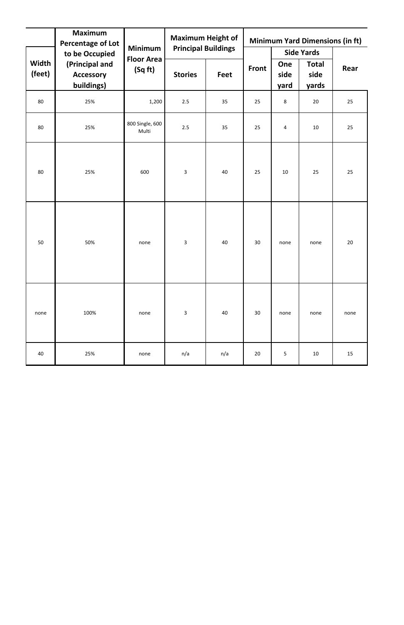|                 | <b>Maximum</b><br><b>Percentage of Lot</b>       |                                                | <b>Maximum Height of</b>   |      |              | <b>Minimum Yard Dimensions (in ft)</b> |                               |      |
|-----------------|--------------------------------------------------|------------------------------------------------|----------------------------|------|--------------|----------------------------------------|-------------------------------|------|
|                 | to be Occupied                                   | <b>Minimum</b><br><b>Floor Area</b><br>(Sq ft) | <b>Principal Buildings</b> |      |              | <b>Side Yards</b>                      |                               |      |
| Width<br>(feet) | (Principal and<br><b>Accessory</b><br>buildings) |                                                | <b>Stories</b>             | Feet | <b>Front</b> | One<br>side<br>yard                    | <b>Total</b><br>side<br>yards | Rear |
| 80              | 25%                                              | 1,200                                          | 2.5                        | 35   | 25           | 8                                      | 20                            | 25   |
| 80              | 25%                                              | 800 Single, 600<br>Multi                       | 2.5                        | 35   | 25           | $\overline{a}$                         | 10                            | 25   |
| 80              | 25%                                              | 600                                            | $\mathbf{3}$               | 40   | 25           | 10                                     | 25                            | 25   |
| 50              | 50%                                              | none                                           | $\mathbf{3}$               | 40   | 30           | none                                   | none                          | 20   |
| none            | 100%                                             | none                                           | $\mathbf{3}$               | 40   | 30           | none                                   | none                          | none |
| 40              | 25%                                              | none                                           | n/a                        | n/a  | 20           | 5                                      | 10                            | 15   |